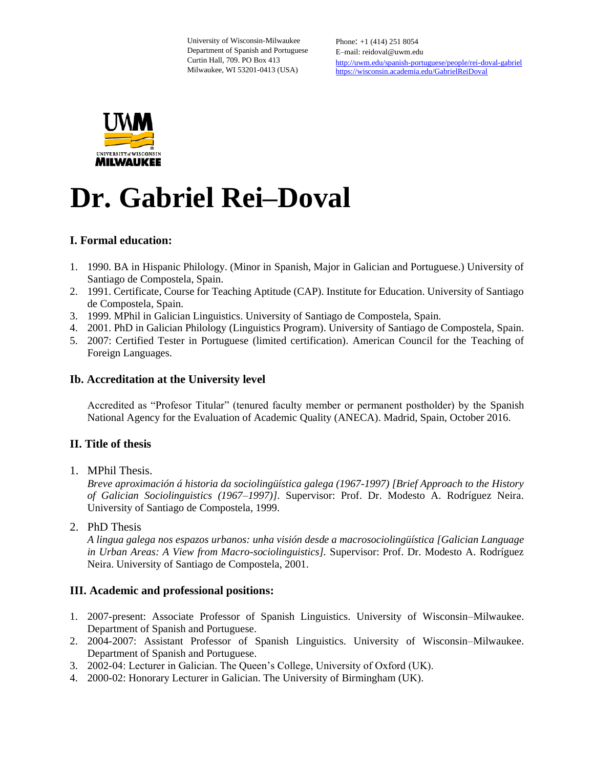University of Wisconsin-Milwaukee Department of Spanish and Portuguese Curtin Hall, 709. PO Box 413 Milwaukee, WI 53201-0413 (USA)

Phone: +1 (414) 251 8054 E–mail: reidoval@uwm.edu <http://uwm.edu/spanish-portuguese/people/rei-doval-gabriel> <https://wisconsin.academia.edu/GabrielReiDoval>



# **Dr. Gabriel Rei–Doval**

# **I. Formal education:**

- 1. 1990. BA in Hispanic Philology. (Minor in Spanish, Major in Galician and Portuguese.) University of Santiago de Compostela, Spain.
- 2. 1991. Certificate, Course for Teaching Aptitude (CAP). Institute for Education. University of Santiago de Compostela, Spain.
- 3. 1999. MPhil in Galician Linguistics. University of Santiago de Compostela, Spain.
- 4. 2001. PhD in Galician Philology (Linguistics Program). University of Santiago de Compostela, Spain.
- 5. 2007: Certified Tester in Portuguese (limited certification). American Council for the Teaching of Foreign Languages.

## **Ib. Accreditation at the University level**

Accredited as "Profesor Titular" (tenured faculty member or permanent postholder) by the Spanish National Agency for the Evaluation of Academic Quality (ANECA). Madrid, Spain, October 2016.

## **II. Title of thesis**

1. MPhil Thesis.

*Breve aproximación á historia da sociolingüística galega (1967-1997) [Brief Approach to the History of Galician Sociolinguistics (1967–1997)]*. Supervisor: Prof. Dr. Modesto A. Rodríguez Neira. University of Santiago de Compostela, 1999.

2. PhD Thesis

*A lingua galega nos espazos urbanos: unha visión desde a macrosociolingüística [Galician Language in Urban Areas: A View from Macro-sociolinguistics].* Supervisor: Prof. Dr. Modesto A. Rodríguez Neira. University of Santiago de Compostela, 2001.

## **III. Academic and professional positions:**

- 1. 2007-present: Associate Professor of Spanish Linguistics. University of Wisconsin–Milwaukee. Department of Spanish and Portuguese.
- 2. 2004-2007: Assistant Professor of Spanish Linguistics. University of Wisconsin–Milwaukee. Department of Spanish and Portuguese.
- 3. 2002-04: Lecturer in Galician. The Queen's College, University of Oxford (UK).
- 4. 2000-02: Honorary Lecturer in Galician. The University of Birmingham (UK).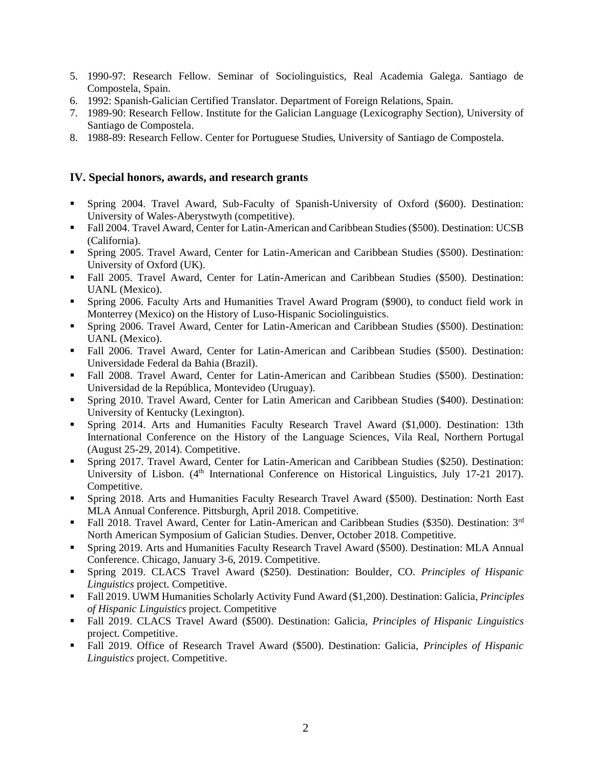- 5. 1990-97: Research Fellow. Seminar of Sociolinguistics, Real Academia Galega. Santiago de Compostela, Spain.
- 6. 1992: Spanish-Galician Certified Translator. Department of Foreign Relations, Spain.
- 7. 1989-90: Research Fellow. Institute for the Galician Language (Lexicography Section), University of Santiago de Compostela.
- 8. 1988-89: Research Fellow. Center for Portuguese Studies, University of Santiago de Compostela.

## **IV. Special honors, awards, and research grants**

- Spring 2004. Travel Award, Sub-Faculty of Spanish-University of Oxford (\$600). Destination: University of Wales-Aberystwyth (competitive).
- Fall 2004. Travel Award, Center for Latin-American and Caribbean Studies (\$500). Destination: UCSB (California).
- Spring 2005. Travel Award, Center for Latin-American and Caribbean Studies (\$500). Destination: University of Oxford (UK).
- Fall 2005. Travel Award, Center for Latin-American and Caribbean Studies (\$500). Destination: UANL (Mexico).
- Spring 2006. Faculty Arts and Humanities Travel Award Program (\$900), to conduct field work in Monterrey (Mexico) on the History of Luso-Hispanic Sociolinguistics.
- Spring 2006. Travel Award, Center for Latin-American and Caribbean Studies (\$500). Destination: UANL (Mexico).
- Fall 2006. Travel Award, Center for Latin-American and Caribbean Studies (\$500). Destination: Universidade Federal da Bahia (Brazil).
- Fall 2008. Travel Award, Center for Latin-American and Caribbean Studies (\$500). Destination: Universidad de la República, Montevideo (Uruguay).
- Spring 2010. Travel Award, Center for Latin American and Caribbean Studies (\$400). Destination: University of Kentucky (Lexington).
- Spring 2014. Arts and Humanities Faculty Research Travel Award (\$1,000). Destination: 13th International Conference on the History of the Language Sciences, Vila Real, Northern Portugal (August 25-29, 2014). Competitive.
- Spring 2017. Travel Award, Center for Latin-American and Caribbean Studies (\$250). Destination: University of Lisbon. (4<sup>th</sup> International Conference on Historical Linguistics, July 17-21 2017). Competitive.
- Spring 2018. Arts and Humanities Faculty Research Travel Award (\$500). Destination: North East MLA Annual Conference. Pittsburgh, April 2018. Competitive.
- Fall 2018. Travel Award, Center for Latin-American and Caribbean Studies (\$350). Destination: 3rd North American Symposium of Galician Studies. Denver, October 2018. Competitive.
- Spring 2019. Arts and Humanities Faculty Research Travel Award (\$500). Destination: MLA Annual Conference. Chicago, January 3-6, 2019. Competitive.
- Spring 2019. CLACS Travel Award (\$250). Destination: Boulder, CO. *Principles of Hispanic Linguistics* project. Competitive.
- Fall 2019. UWM Humanities Scholarly Activity Fund Award (\$1,200). Destination: Galicia, *Principles of Hispanic Linguistics* project. Competitive
- Fall 2019. CLACS Travel Award (\$500). Destination: Galicia, *Principles of Hispanic Linguistics*  project. Competitive.
- Fall 2019. Office of Research Travel Award (\$500). Destination: Galicia, *Principles of Hispanic Linguistics* project. Competitive.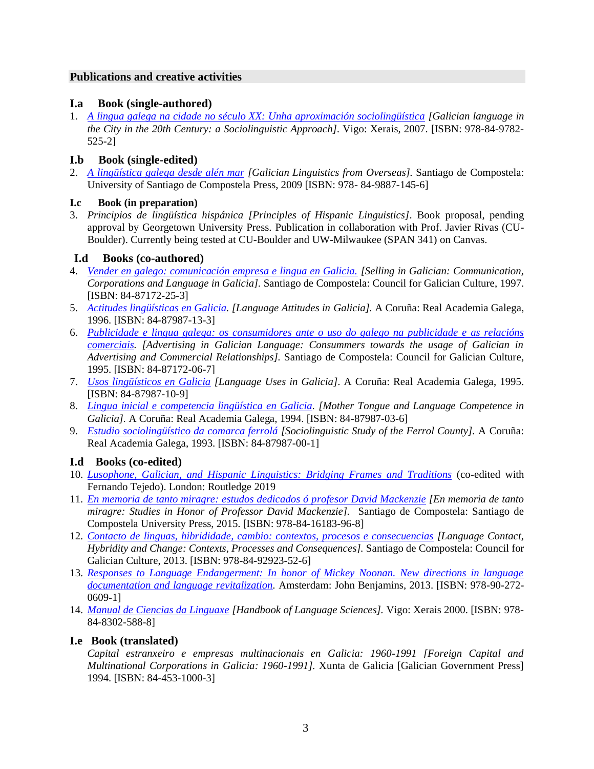## **Publications and creative activities**

## **I.a Book (single-authored)**

1. *[A lingua galega na cidade no século XX: Unha aproximación sociolingüística](https://www.academia.edu/13652889/A_lingua_galega_na_cidade_no_século_XX_unha_aproximación_sociolingü%C3%ADstica) [Galician language in the City in the 20th Century: a Sociolinguistic Approach]*. Vigo: Xerais, 2007. [ISBN: 978-84-9782- 525-2]

## **I.b Book (single-edited)**

2. *[A lingüística galega desde alén mar](https://www.academia.edu/13650332/A_lingü%C3%ADstica_galega_desde_alén_mar) [Galician Linguistics from Overseas].* Santiago de Compostela: University of Santiago de Compostela Press, 2009 [ISBN: 978- 84-9887-145-6]

## **I.c Book (in preparation)**

3. *Principios de lingüística hispánica [Principles of Hispanic Linguistics]*. Book proposal, pending approval by Georgetown University Press. Publication in collaboration with Prof. Javier Rivas (CU-Boulder). Currently being tested at CU-Boulder and UW-Milwaukee (SPAN 341) on Canvas.

## **I.d Books (co-authored)**

- 4. *[Vender en galego: comunicación empresa e lingua en Galicia.](https://www.academia.edu/7309674/Vender_en_galego._Comunicación_empresa_e_lingua_en_Galicia_1997_) [Selling in Galician: Communication, Corporations and Language in Galicia].* Santiago de Compostela: Council for Galician Culture, 1997. [ISBN: 84-87172-25-3]
- 5. *[Actitudes lingüísticas en Galicia.](https://www.academia.edu/13650534/Actitudes_lingü%C3%ADsticas_en_Galicia) [Language Attitudes in Galicia].* A Coruña: Real Academia Galega, 1996. [ISBN: 84-87987-13-3]
- 6. *[Publicidade e lingua galega: os consumidores ante o uso do galego na publicidade e as relacións](https://www.academia.edu/13644833/Publicidade_e_lingua_galega_os_consumidores_ante_o_uso_do_galego_na_comunicación_publicitaria_e_nas_relacións_comerciais_Publicidad_y_lengua_gallega_los_consumidores_ante_el_uso_del_gallego_en_la_comunicación_publ)  [comerciais.](https://www.academia.edu/13644833/Publicidade_e_lingua_galega_os_consumidores_ante_o_uso_do_galego_na_comunicación_publicitaria_e_nas_relacións_comerciais_Publicidad_y_lengua_gallega_los_consumidores_ante_el_uso_del_gallego_en_la_comunicación_publ) [Advertising in Galician Language: Consummers towards the usage of Galician in Advertising and Commercial Relationships].* Santiago de Compostela: Council for Galician Culture, 1995. [ISBN: 84-87172-06-7]
- 7. *[Usos lingüísticos en Galicia](https://www.academia.edu/13650158/Usos_lingü%C3%ADsticos_en_Galicia) [Language Uses in Galicia]*. A Coruña: Real Academia Galega, 1995. [ISBN: 84-87987-10-9]
- 8. *[Lingua inicial e competencia lingüística en Galicia.](https://www.academia.edu/6955373/Lingua_inicial_e_competencia_lingü%C3%ADstica_en_Galicia) [Mother Tongue and Language Competence in Galicia].* A Coruña: Real Academia Galega, 1994. [ISBN: 84-87987-03-6]
- 9. *[Estudio sociolingüístico da comarca ferrolá](https://www.academia.edu/13646037/Estudio_sociolingü%C3%ADstico_da_comarca_ferrolá_fase_previa_ó_Mapa_Sociolingü%C3%ADstico_de_Galicia) [Sociolinguistic Study of the Ferrol County].* A Coruña: Real Academia Galega, 1993. [ISBN: 84-87987-00-1]

# **I.d Books (co-edited)**

- 10. *[Lusophone, Galician, and Hispanic Linguistics: Bridging Frames and Traditions](https://www.routledge.com/Lusophone-Galician-and-Hispanic-Linguistics-Bridging-Frames-and-Traditions/Rei-Doval-Tejedo-Herrero/p/book/9781138223691)* (co-edited with Fernando Tejedo). London: Routledge 2019
- 11. *[En memoria de tanto miragre: estudos dedicados ó profesor David Mackenzie](https://www.academia.edu/15462134/En_memoria_de_tanto_miragre._Estudos_dedicados_ó_profesor_David_Mackenzie) [En memoria de tanto miragre: Studies in Honor of Professor David Mackenzie].* Santiago de Compostela: Santiago de Compostela University Press, 2015. [ISBN: 978-84-16183-96-8]
- 12. *Contacto de linguas, hibrididade, [cambio: contextos, procesos e consecuencias](https://www.academia.edu/13642681/Contacto_de_linguas_hibrididade_cambio_contextos_procesos_e_consecuencias) [Language Contact, Hybridity and Change: Contexts, Processes and Consequences].* Santiago de Compostela: Council for Galician Culture, 2013. [ISBN: 978-84-92923-52-6]
- 13. *[Responses to Language Endangerment: In honor of Mickey Noonan. New directions in language](https://www.academia.edu/13643910/Responses_to_Language_Endangerment._In_honor_of_Mickey_Noonan_New_directions_in_language_documentation_and_language_revitalization)  [documentation and language revitalization.](https://www.academia.edu/13643910/Responses_to_Language_Endangerment._In_honor_of_Mickey_Noonan_New_directions_in_language_documentation_and_language_revitalization)* Amsterdam: John Benjamins, 2013. [ISBN: 978-90-272- 0609-1]
- 14. *[Manual de Ciencias da Linguaxe](https://www.academia.edu/5830357/Manual_de_Ciencias_da_Linguaxe) [Handbook of Language Sciences].* Vigo: Xerais 2000. [ISBN: 978- 84-8302-588-8]

## **I.e Book (translated)**

*Capital estranxeiro e empresas multinacionais en Galicia: 1960-1991 [Foreign Capital and Multinational Corporations in Galicia: 1960-1991].* Xunta de Galicia [Galician Government Press] 1994. [ISBN: 84-453-1000-3]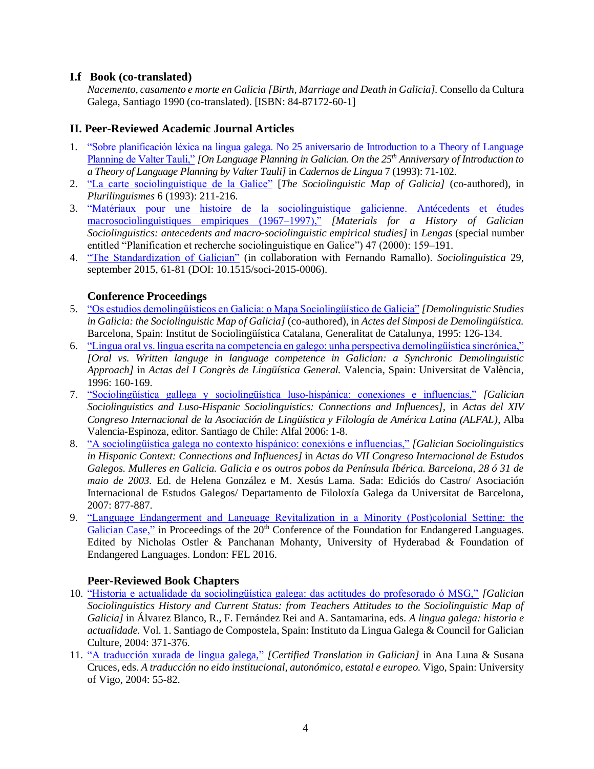## **I.f Book (co-translated)**

*Nacemento, casamento e morte en Galicia [Birth, Marriage and Death in Galicia].* Consello da Cultura Galega, Santiago 1990 (co-translated). [ISBN: 84-87172-60-1]

## **II. Peer-Reviewed Academic Journal Articles**

- 1. ["Sobre planificación léxica na lingua galega. No 25 aniversario de Introduction to a Theory of Language](https://www.academia.edu/17216365/Sobre_planificación_léxica_na_lingua_galega._No_25_aniversario_de_Introduction_to_a_Theory_of_Language_Planning_de_Valter_Tauli_1993_)  [Planning de Valter Tauli,"](https://www.academia.edu/17216365/Sobre_planificación_léxica_na_lingua_galega._No_25_aniversario_de_Introduction_to_a_Theory_of_Language_Planning_de_Valter_Tauli_1993_) *[On Language Planning in Galician. On the 25th Anniversary of Introduction to a Theory of Language Planning by Valter Tauli]* in *Cadernos de Lingua* 7 (1993): 71-102.
- 2. ["La carte sociolinguistique de la Galice"](https://www.academia.edu/17812399/La_carte_sociolinguistique_de_la_Galice) [*The Sociolinguistic Map of Galicia]* (co-authored), in *Plurilinguismes* 6 (1993): 211-216.
- 3. ["Matériaux pour une histoire de la sociolinguistique galicienne. Antécedents](https://www.academia.edu/17812167/Matériaux_pour_une_histoire_de_la_sociolinguistique_galicienne._Antécedents_et_études_macrosociolinguistiques_empiriques_1967_1997_) et études [macrosociolinguistiques empiriques \(1967–1997\),"](https://www.academia.edu/17812167/Matériaux_pour_une_histoire_de_la_sociolinguistique_galicienne._Antécedents_et_études_macrosociolinguistiques_empiriques_1967_1997_) *[Materials for a History of Galician Sociolinguistics: antecedents and macro-sociolinguistic empirical studies]* in *Lengas* (special number entitled "Planification et recherche sociolinguistique en Galice") 47 (2000): 159–191.
- 4. ["The Standardization of Galician"](https://www.academia.edu/19379805/The_Standardization_of_Galician) (in collaboration with Fernando Ramallo). *Sociolinguistica* 29, september 2015, 61-81 (DOI: 10.1515/soci-2015-0006).

## **Conference Proceedings**

- 5. ["Os estudios demolingüísticos en Galicia: o Mapa Sociolingüístico de Galicia"](https://www.academia.edu/18031393/Os_estudios_demolingü%C3%ADsticos_en_Galicia_o_Mapa_Sociolingü%C3%ADstico_de_Galicia) *[Demolinguistic Studies in Galicia: the Sociolinguistic Map of Galicia]* (co-authored), in *Actes del Simposi de Demolingüística.* Barcelona, Spain: Institut de Sociolingüística Catalana, Generalitat de Catalunya, 1995: 126-134.
- 6. ["Lingua oral vs. lingua escrita na competencia en galego: unha perspectiva demolingüística sincrónica,"](https://www.academia.edu/18158843/Lingua_oral_vs._lingua_escrita_na_competencia_en_galego_unha_perspectiva_demolingü%C3%ADstica_sincrónica) *[Oral vs. Written languge in language competence in Galician: a Synchronic Demolinguistic Approach]* in *Actas del I Congrès de Lingüística General.* Valencia, Spain: Universitat de València, 1996: 160-169.
- 7. ["Sociolingüística gallega y sociolingüística luso-hispánica: conexiones e influencias,"](https://www.academia.edu/17168040/Sociolingü%C3%ADstica_gallega_y_sociolingü%C3%ADstica_luso-hispánica_conexiones_e_influencias_2006_) *[Galician Sociolinguistics and Luso-Hispanic Sociolinguistics: Connections and Influences],* in *Actas del XIV Congreso Internacional de la Asociación de Lingüística y Filología de América Latina (ALFAL)*, Alba Valencia-Espinoza, editor. Santiago de Chile: Alfal 2006: 1-8.
- 8. ["A sociolingüística galega no contexto hispánico: conexións e influencias,"](https://www.academia.edu/17216817/A_sociolingü%C3%ADstica_galega_no_contexto_hispánico_conexións_e_influencias_2007_) *[Galician Sociolinguistics in Hispanic Context: Connections and Influences]* in *Actas do VII Congreso Internacional de Estudos Galegos. Mulleres en Galicia. Galicia e os outros pobos da Península Ibérica. Barcelona, 28 ó 31 de maio de 2003.* Ed. de Helena González e M. Xesús Lama. Sada: Ediciós do Castro/ Asociación Internacional de Estudos Galegos/ Departamento de Filoloxía Galega da Universitat de Barcelona, 2007: 877-887.
- 9. ["Language Endangerment and Language Revitalization in a Minority \(Post\)colonial Setting: the](https://www.academia.edu/30474535/Language_Endangerment_and_Language_Revitalization_in_a_minority_post_colonial_setting_the_Galician_case)  [Galician Case,"](https://www.academia.edu/30474535/Language_Endangerment_and_Language_Revitalization_in_a_minority_post_colonial_setting_the_Galician_case) in Proceedings of the 20<sup>th</sup> Conference of the Foundation for Endangered Languages. Edited by Nicholas Ostler & Panchanan Mohanty, University of Hyderabad & Foundation of Endangered Languages. London: FEL 2016.

## **Peer-Reviewed Book Chapters**

- 10. ["Historia e actualidade da sociolingüística galega: das actitudes do profesorado ó MSG,"](https://www.academia.edu/17179779/Historia_e_actualidade_da_sociolingü%C3%ADstica_galega_das_actitudes_do_profesorado_ó_MSG_2004_) *[Galician Sociolinguistics History and Current Status: from Teachers Attitudes to the Sociolinguistic Map of Galicia]* in Álvarez Blanco, R., F. Fernández Rei and A. Santamarina, eds. *A lingua galega: historia e actualidade.* Vol. 1. Santiago de Compostela, Spain: Instituto da Lingua Galega & Council for Galician Culture, 2004: 371-376.
- 11. ["A traducción xurada de lingua galega,"](https://www.academia.edu/17357073/A_traducción_xurada_de_lingua_galega_2004_) *[Certified Translation in Galician]* in Ana Luna & Susana Cruces, eds. *A traducción no eido institucional, autonómico, estatal e europeo.* Vigo, Spain: University of Vigo, 2004: 55-82.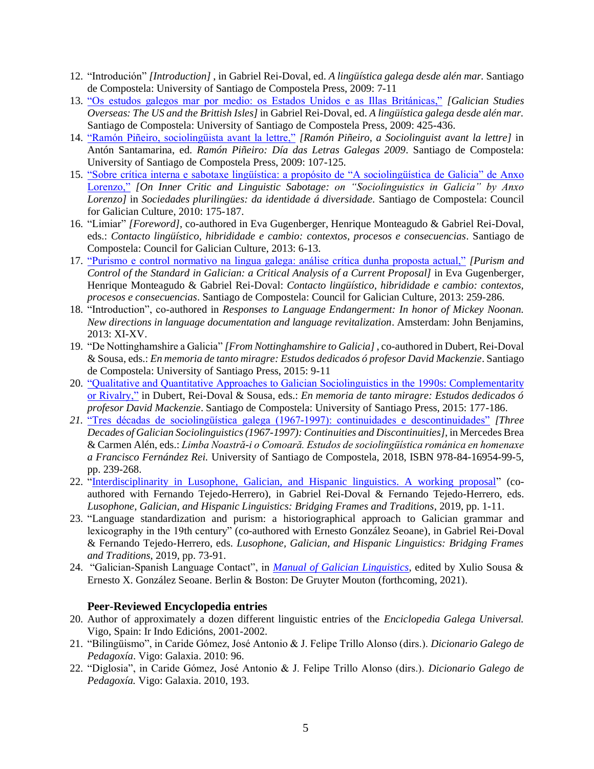- 12. "Introdución" *[Introduction]* , in Gabriel Rei-Doval, ed. *A lingüística galega desde alén mar.* Santiago de Compostela: University of Santiago de Compostela Press, 2009: 7-11
- 13. ["Os estudos galegos mar por medio: os Estados Unidos e as Illas Británicas,"](https://www.academia.edu/16496014/Os_estudos_galegos_mar_por_medio_os_Estados_Unidos_e_as_Illas_Británicas_2009_) *[Galician Studies Overseas: The US and the Brittish Isles]* in Gabriel Rei-Doval, ed. *A lingüística galega desde alén mar.* Santiago de Compostela: University of Santiago de Compostela Press, 2009: 425-436.
- 14. ["Ramón Piñeiro, sociolingüista avant la lettre,"](https://www.academia.edu/13653339/Ramón_Piñeiro_sociolingüista_avant_la_lettre_2009_) *[Ramón Piñeiro, a Sociolinguist avant la lettre]* in Antón Santamarina, ed. *Ramón Piñeiro: Día das Letras Galegas 2009*. Santiago de Compostela: University of Santiago de Compostela Press, 2009: 107-125.
- 15. ["Sobre crítica interna e sabotaxe lingüística: a propósito de "A sociolingüística de Galicia" de Anxo](https://www.academia.edu/13651691/Sobre_cr%C3%ADtica_interna_e_sabotaxe_lingü%C3%ADstica_2009_)  [Lorenzo,"](https://www.academia.edu/13651691/Sobre_cr%C3%ADtica_interna_e_sabotaxe_lingü%C3%ADstica_2009_) *[On Inner Critic and Linguistic Sabotage: on "Sociolinguistics in Galicia" by Anxo Lorenzo]* in *Sociedades plurilingües: da identidade á diversidade.* Santiago de Compostela: Council for Galician Culture, 2010: 175-187.
- 16. "Limiar" *[Foreword]*, co-authored in Eva Gugenberger, Henrique Monteagudo & Gabriel Rei-Doval, eds.: *Contacto lingüístico, hibrididade e cambio: contextos, procesos e consecuencias*. Santiago de Compostela: Council for Galician Culture, 2013: 6-13.
- 17. ["Purismo e control normativo na lingua galega: análise](https://www.academia.edu/13650822/Purismo_e_control_normativo_na_lingua_galega_análise_cr%C3%ADtica_dunha_proposta_actual_2013_) crítica dunha proposta actual," *[Purism and Control of the Standard in Galician: a Critical Analysis of a Current Proposal]* in Eva Gugenberger, Henrique Monteagudo & Gabriel Rei-Doval: *Contacto lingüístico, hibrididade e cambio: contextos, procesos e consecuencias*. Santiago de Compostela: Council for Galician Culture, 2013: 259-286.
- 18. "Introduction", co-authored in *Responses to Language Endangerment: In honor of Mickey Noonan. New directions in language documentation and language revitalization*. Amsterdam: John Benjamins, 2013: XI-XV.
- 19. "De Nottinghamshire a Galicia" *[From Nottinghamshire to Galicia]* , co-authored in Dubert, Rei-Doval & Sousa, eds.: *En memoria de tanto miragre: Estudos dedicados ó profesor David Mackenzie*. Santiago de Compostela: University of Santiago Press, 2015: 9-11
- 20. ["Qualitative and Quantitative Approaches to Galician Sociolinguistics in the 1990s: Complementarity](https://www.academia.edu/14284816/Quantitative_and_Qualitative_Approaches_to_Galician_Sociolinguistics_in_the_1990s_Complementarity_or_Rivalry_2015_)  [or Rivalry,"](https://www.academia.edu/14284816/Quantitative_and_Qualitative_Approaches_to_Galician_Sociolinguistics_in_the_1990s_Complementarity_or_Rivalry_2015_) in Dubert, Rei-Doval & Sousa, eds.: *En memoria de tanto miragre: Estudos dedicados ó profesor David Mackenzie*. Santiago de Compostela: University of Santiago Press, 2015: 177-186.
- *21.* ["Tres décadas de sociolingüística galega \(1967-1997\): continuidades e descontinuidades"](https://www.academia.edu/37809635/Tres_décadas_de_sociolingü%C3%ADstica_galega_1967_1997_continuidades_e_descontinuidades) *[Three Decades of Galician Sociolinguistics (1967-1997): Continuities and Discontinuities]*, in Mercedes Brea & Carmen Alén, eds.: *Limba Noastră-i o Comoară. Estudos de sociolingüística románica en homenaxe a Francisco Fernández Rei.* University of Santiago de Compostela, 2018, ISBN 978-84-16954-99-5, pp. 239-268.
- 22. ["Interdisciplinarity in Lusophone, Galician, and Hispanic linguistics. A working proposal"](https://www.academia.edu/39358818/Interdisciplinarity_in_Lusophone_Galician_and_Hispanic_linguistics._A_working_proposal) (coauthored with Fernando Tejedo-Herrero), in Gabriel Rei-Doval & Fernando Tejedo-Herrero, eds. *Lusophone, Galician, and Hispanic Linguistics: Bridging Frames and Traditions*, 2019, pp. 1-11.
- 23. "Language standardization and purism: a historiographical approach to Galician grammar and lexicography in the 19th century" (co-authored with Ernesto González Seoane), in Gabriel Rei-Doval & Fernando Tejedo-Herrero, eds. *Lusophone, Galician, and Hispanic Linguistics: Bridging Frames and Traditions*, 2019, pp. 73-91.
- 24. "Galician-Spanish Language Contact", in *[Manual of Galician Linguistics](https://www.degruyter.com/view/title/510215)*, edited by Xulio Sousa & Ernesto X. González Seoane. Berlin & Boston: De Gruyter Mouton (forthcoming, 2021).

## **Peer-Reviewed Encyclopedia entries**

- 20. Author of approximately a dozen different linguistic entries of the *Enciclopedia Galega Universal.* Vigo, Spain: Ir Indo Edicións, 2001-2002.
- 21. "Bilingüismo", in Caride Gómez, José Antonio & J. Felipe Trillo Alonso (dirs.). *Dicionario Galego de Pedagoxía*. Vigo: Galaxia. 2010: 96.
- 22. "Diglosia", in Caride Gómez, José Antonio & J. Felipe Trillo Alonso (dirs.). *Dicionario Galego de Pedagoxía.* Vigo: Galaxia. 2010, 193.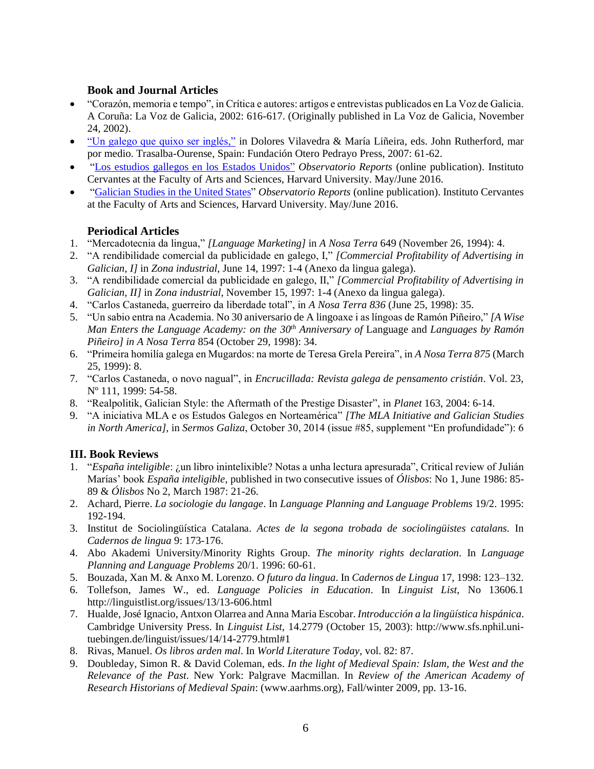## **Book and Journal Articles**

- "Corazón, memoria e tempo", in Crítica e autores: artigos e entrevistas publicados en La Voz de Galicia. A Coruña: La Voz de Galicia, 2002: 616-617. (Originally published in La Voz de Galicia, November 24, 2002).
- "Un [galego que quixo ser inglés,"](https://www.academia.edu/28717811/Un_galego_que_quixo_ser_inglés) in Dolores Vilavedra & María Liñeira, eds. John Rutherford, mar por medio. Trasalba-Ourense, Spain: Fundación Otero Pedrayo Press, 2007: 61-62.
- ["Los estudios gallegos en los Estados Unidos"](https://www.academia.edu/25637600/021-05_2016SP._Los_estudios_gallegos_en_los_Estados_Unidos) *Observatorio Reports* (online publication). Instituto Cervantes at the Faculty of Arts and Sciences, Harvard University. May/June 2016.
- ["Galician Studies in the United States"](https://www.academia.edu/25922435/021-05_2016EN._Galician_Studies_in_the_United_States) *Observatorio Reports* (online publication). Instituto Cervantes at the Faculty of Arts and Sciences, Harvard University. May/June 2016.

## **Periodical Articles**

- 1. "Mercadotecnia da lingua," *[Language Marketing]* in *A Nosa Terra* 649 (November 26, 1994): 4.
- 2. "A rendibilidade comercial da publicidade en galego, I," *[Commercial Profitability of Advertising in Galician, I]* in *Zona industrial*, June 14, 1997: 1-4 (Anexo da lingua galega).
- 3. "A rendibilidade comercial da publicidade en galego, II," *[Commercial Profitability of Advertising in Galician, II]* in *Zona industrial*, November 15, 1997: 1-4 (Anexo da lingua galega).
- 4. "Carlos Castaneda, guerreiro da liberdade total", in *A Nosa Terra 836* (June 25, 1998): 35.
- 5. "Un sabio entra na Academia. No 30 aniversario de A lingoaxe i as língoas de Ramón Piñeiro," *[A Wise Man Enters the Language Academy: on the 30th Anniversary of* Language and *Languages by Ramón Piñeiro] in A Nosa Terra* 854 (October 29, 1998): 34.
- 6. "Primeira homilía galega en Mugardos: na morte de Teresa Grela Pereira", in *A Nosa Terra 875* (March 25, 1999): 8.
- 7. "Carlos Castaneda, o novo nagual", in *Encrucillada: Revista galega de pensamento cristián*. Vol. 23, Nº 111, 1999: 54-58.
- 8. "Realpolitik, Galician Style: the Aftermath of the Prestige Disaster", in *Planet* 163, 2004: 6-14.
- 9. "A iniciativa MLA e os Estudos Galegos en Norteamérica" *[The MLA Initiative and Galician Studies in North America]*, in *Sermos Galiza*, October 30, 2014 (issue #85, supplement "En profundidade"): 6

## **III. Book Reviews**

- 1. "*España inteligible*: ¿un libro inintelixible? Notas a unha lectura apresurada", Critical review of Julián Marías' book *España inteligible*, published in two consecutive issues of *Ólisbos*: No 1, June 1986: 85- 89 & *Ólisbos* No 2, March 1987: 21-26.
- 2. Achard, Pierre. *La sociologie du langage*. In *Language Planning and Language Problems* 19/2. 1995: 192-194.
- 3. Institut de Sociolingüística Catalana. *Actes de la segona trobada de sociolingüistes catalans.* In *Cadernos de lingua* 9: 173-176.
- 4. Abo Akademi University/Minority Rights Group. *The minority rights declaration*. In *Language Planning and Language Problems* 20/1. 1996: 60-61.
- 5. Bouzada, Xan M. & Anxo M. Lorenzo. *O futuro da lingua*. In *Cadernos de Lingua* 17, 1998: 123–132.
- 6. Tollefson, James W., ed. *Language Policies in Education*. In *Linguist List*, No 13606.1 http://linguistlist.org/issues/13/13-606.html
- 7. Hualde, José Ignacio, Antxon Olarrea and Anna Maria Escobar. *Introducción a la lingüística hispánica*. Cambridge University Press. In *Linguist List*, 14.2779 (October 15, 2003): http://www.sfs.nphil.unituebingen.de/linguist/issues/14/14-2779.html#1
- 8. Rivas, Manuel. *Os libros arden mal*. In *World Literature Today*, vol. 82: 87.
- 9. Doubleday, Simon R. & David Coleman, eds. *In the light of Medieval Spain: Islam, the West and the Relevance of the Past*. New York: Palgrave Macmillan. In *Review of the American Academy of Research Historians of Medieval Spain*: (www.aarhms.org), Fall/winter 2009, pp. 13-16.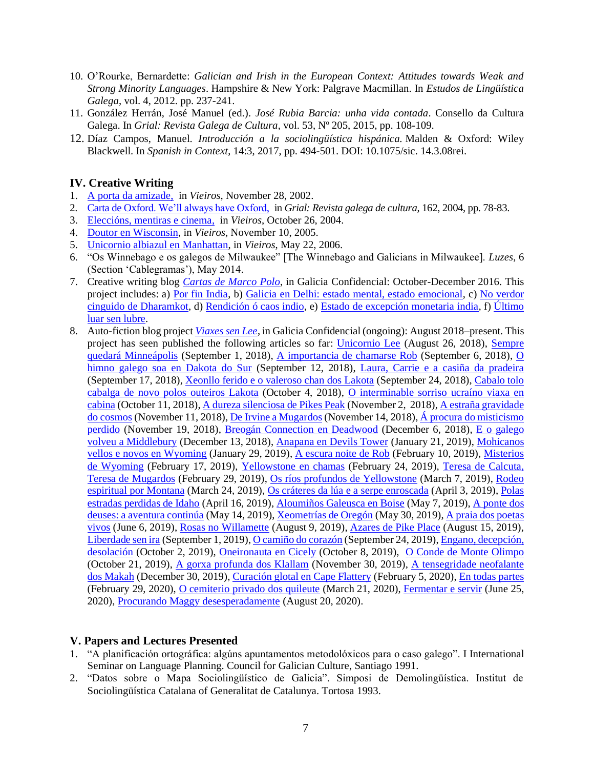- 10. O'Rourke, Bernardette: *Galician and Irish in the European Context: Attitudes towards Weak and Strong Minority Languages*. Hampshire & New York: Palgrave Macmillan. In *Estudos de Lingüística Galega*, vol. 4, 2012. pp. 237-241.
- 11. González Herrán, José Manuel (ed.). *José Rubia Barcia: unha vida contada*. Consello da Cultura Galega. In *Grial: Revista Galega de Cultura*, vol. 53, Nº 205, 2015, pp. 108-109.
- 12. Díaz Campos, Manuel. *Introducción a la sociolingüística hispánica.* Malden & Oxford: Wiley Blackwell. In *Spanish in Context*, 14:3, 2017, pp. 494-501. DOI: 10.1075/sic. 14.3.08rei.

## **IV. Creative Writing**

- 1. [A porta da amizade,](https://www.academia.edu/26196230/A_porta_da_amizade) in *Vieiros*, November 28, 2002.
- 2. [Carta de Oxford. We'll always have Oxford,](https://www.academia.edu/26166865/Well_always_have_Oxford._Carta_de_Oxford) in *Grial: Revista galega de cultura*, 162, 2004, pp. 78-83.
- 3. [Eleccións, mentiras e cinema,](https://www.academia.edu/28504248/Eleccións_mentiras_e_cinema) in *Vieiros*, October 26, 2004.
- 4. [Doutor en Wisconsin,](https://www.academia.edu/28369402/Doutor_en_Wisconsin) in *Vieiros*, November 10, 2005.
- 5. [Unicornio albiazul en Manhattan,](https://www.academia.edu/28422277/Unicornio_albiazul_en_Manhattan) in *Vieiros*, May 22, 2006.
- 6. "Os Winnebago e os galegos de Milwaukee" [The Winnebago and Galicians in Milwaukee]. *Luzes*, 6 (Section 'Cablegramas'), May 2014.
- 7. Creative writing blog *[Cartas de Marco Polo](https://www.galiciaconfidencial.com/tema/cartasmarcopolo)*, in Galicia Confidencial: October-December 2016. This project includes: a) [Por fin India,](https://www.galiciaconfidencial.com/noticia/38346-india) b) [Galicia en Delhi: estado mental, estado emocional,](https://www.galiciaconfidencial.com/noticia/38389-galicia-delhi-estado-mental-estado-emocional) c) [No verdor](https://www.galiciaconfidencial.com/noticia/39695-verdor-cinguido-dharamkot)  [cinguido de Dharamkot,](https://www.galiciaconfidencial.com/noticia/39695-verdor-cinguido-dharamkot) d) [Rendición ó caos indio,](https://www.galiciaconfidencial.com/noticia/40242-rendicion-caos-indio) e) [Estado de excepción monetaria india,](https://www.galiciaconfidencial.com/noticia/41610-estado-excepcion-monetaria-india) f) [Último](https://www.galiciaconfidencial.com/noticia/43562-ltimo-luar-lubre)  [luar sen lubre.](https://www.galiciaconfidencial.com/noticia/43562-ltimo-luar-lubre)
- 8. Auto-fiction blog project *[Viaxes sen Lee](http://www.galiciaconfidencial.com/tema/viaxes-sen-lee)*, in Galicia Confidencial (ongoing): August 2018–present. This project has seen published the following articles so far: [Unicornio Lee](http://www.galiciaconfidencial.com/noticia/76400-unicornio-lee) (August 26, 2018), Sempre [quedará Minneápolis](http://www.galiciaconfidencial.com/noticia/77463-quedara-minneapolis) (September 1, 2018), [A importancia de chamarse Rob](http://www.galiciaconfidencial.com/noticia/77648-importancia-chamarse-rob) (September 6, 2018), [O](http://www.galiciaconfidencial.com/noticia/77875-himno-galego-soa-dakota-sur)  [himno galego soa en Dakota do Sur](http://www.galiciaconfidencial.com/noticia/77875-himno-galego-soa-dakota-sur) (September 12, 2018), [Laura, Carrie e a casiña da pradeira](http://www.galiciaconfidencial.com/noticia/78051-laura-carrie-casina-pradeira) (September 17, 2018), [Xeonllo ferido e o valeroso chan dos Lakota](http://www.galiciaconfidencial.com/noticia/78346-xeonllo-ferido-valeroso-chan-lakota) (September 24, 2018), [Cabalo tolo](http://www.galiciaconfidencial.com/noticia/78746-cabalo-tolo-cabalga-novo-polos-outeiros-lakota)  [cabalga de novo polos outeiros Lakota](http://www.galiciaconfidencial.com/noticia/78746-cabalo-tolo-cabalga-novo-polos-outeiros-lakota) (October 4, 2018), [O interminable sorriso ucraíno viaxa en](http://www.galiciaconfidencial.com/noticia/79068-interminable-sorriso-ucraino-viaxa-cabina)  [cabina](http://www.galiciaconfidencial.com/noticia/79068-interminable-sorriso-ucraino-viaxa-cabina) (October 11, 2018), A [dureza silenciosa de Pikes Peak](http://www.galiciaconfidencial.com/noticia/79789-dureza-silenciosa-pikes-peak) (November 2, 2018), [A estraña gravidade](http://www.galiciaconfidencial.com/noticia/80030-estrana-gravidade-cosmos)  [do cosmos](http://www.galiciaconfidencial.com/noticia/80030-estrana-gravidade-cosmos) (November 11, 2018), [De Irvine a Mugardos](http://www.galiciaconfidencial.com/noticia/80210-irvine-mugardos)(November 14, 2018)[, Á procura do misticismo](http://www.galiciaconfidencial.com/noticia/80338-procura-misticismo-perdido)  [perdido](http://www.galiciaconfidencial.com/noticia/80338-procura-misticismo-perdido) (November 19, 2018), [Breogán Connection en Deadwood](http://www.galiciaconfidencial.com/noticia/80852-breogan-connection-deadwood) (December 6, 2018), [E o galego](http://www.galiciaconfidencial.com/noticia/81165-galego-volveu-middlebury)  [volveu a Middlebury](http://www.galiciaconfidencial.com/noticia/81165-galego-volveu-middlebury) (December 13, 2018)[, Anapana en Devils Tower](http://www.galiciaconfidencial.com/noticia/83528-anapana-devils-tower) (January 21, 2019), [Mohicanos](http://www.galiciaconfidencial.com/noticia/84317-mohicanos-vellos-novos-wyoming)  [vellos e novos en Wyoming](http://www.galiciaconfidencial.com/noticia/84317-mohicanos-vellos-novos-wyoming) (January 29, 2019), A escura [noite de Rob](http://www.galiciaconfidencial.com/noticia/85501-escura-noite-rob) (February 10, 2019), [Misterios](http://www.galiciaconfidencial.com/noticia/86168-misterios-wyoming)  [de Wyoming](http://www.galiciaconfidencial.com/noticia/86168-misterios-wyoming) (February 17, 2019), [Yellowstone en chamas](http://www.galiciaconfidencial.com/noticia/86875-yellowstone-chamas) (February 24, 2019), [Teresa de Calcuta,](http://www.galiciaconfidencial.com/noticia/86918-teresa-calcuta-teresa-mugardos)  [Teresa de Mugardos](http://www.galiciaconfidencial.com/noticia/86918-teresa-calcuta-teresa-mugardos) (February 29, 2019), [Os ríos profundos de Yellowstone](http://www.galiciaconfidencial.com/noticia/87912-rios-profundos-yellowstone) (March 7, 2019), [Rodeo](http://www.galiciaconfidencial.com/noticia/89499-rodeo-espiritual-montana)  [espiritual por Montana](http://www.galiciaconfidencial.com/noticia/89499-rodeo-espiritual-montana) (March 24, 2019)[, Os cráteres da lúa e a serpe enroscada](http://www.galiciaconfidencial.com/noticia/90334-crateres-lua-serpe-enroscada) (April 3, 2019), [Polas](http://www.galiciaconfidencial.com/noticia/91657-polas-estradas-perdidas-idaho)  [estradas perdidas de Idaho](http://www.galiciaconfidencial.com/noticia/91657-polas-estradas-perdidas-idaho) (April 16, 2019)[, Aloumiños Galeusca en Boise](http://www.galiciaconfidencial.com/noticia/93327-alouminos-galeusca-boise) (May 7, 2019)[, A ponte dos](http://www.galiciaconfidencial.com/noticia/93852-ponte-deuses-aventura-continua)  [deuses: a aventura continúa](http://www.galiciaconfidencial.com/noticia/93852-ponte-deuses-aventura-continua) (May 14, 2019)[, Xeometrías de Oregón](http://www.galiciaconfidencial.com/noticia/95571-xeometrias-oregon) (May 30, 2019)[, A praia dos poetas](http://www.galiciaconfidencial.com/noticia/96017-praia-poetas-vivos)  [vivos](http://www.galiciaconfidencial.com/noticia/96017-praia-poetas-vivos) (June 6, 2019), [Rosas no Willamette](http://www.galiciaconfidencial.com/noticia/101293-rosas-willamette) (August 9, 2019), [Azares de Pike](http://www.galiciaconfidencial.com/noticia/101693-azares-pike-place) Place (August 15, 2019), [Liberdade sen ira](http://www.galiciaconfidencial.com/noticia/102304-liberdade-ira) (September 1, 2019), [O camiño do corazón](http://www.galiciaconfidencial.com/noticia/102794-camino-corazon) (September 24, 2019)[, Engano, decepción,](http://www.galiciaconfidencial.com/noticia/105240-engano-decepcion-desolacion)  [desolación](http://www.galiciaconfidencial.com/noticia/105240-engano-decepcion-desolacion) (October 2, 2019), [Oneironauta en Cicely](http://www.galiciaconfidencial.com/noticia/105746-oneironauta-cicely) (October 8, 2019), [O Conde de Monte Olimpo](http://www.galiciaconfidencial.com/noticia/106981-conde-monte-olimpo) (October 21, 2019), [A gorxa profunda dos Klallam](http://www.galiciaconfidencial.com/noticia/110468-gorxa-profunda-klallam) (November 30, 2019), [A tensegridade neofalante](http://www.galiciaconfidencial.com/noticia/113094-tensegridade-neofalante-makah)  [dos Makah](http://www.galiciaconfidencial.com/noticia/113094-tensegridade-neofalante-makah) (December 30, 2019), [Curación glotal en Cape Flattery](http://www.galiciaconfidencial.com/noticia/116011-curacion-glotal-cape-flattery) (February 5, 2020), [En todas partes](http://www.galiciaconfidencial.com/noticia/118575-partes) (February 29, 2020), [O cemiterio privado dos quileute](http://www.galiciaconfidencial.com/noticia/120542-cemiterio-privado-quileute) (March 21, 2020), [Fermentar e servir](http://www.galiciaconfidencial.com/noticia/130626-fermentar-servir) (June 25, 2020), [Procurando Maggy desesperadamente](http://www.galiciaconfidencial.com/noticia/136028-procurando-maggy-desesperadamente) (August 20, 2020).

#### **V. Papers and Lectures Presented**

- 1. "A planificación ortográfica: algúns apuntamentos metodolóxicos para o caso galego". I International Seminar on Language Planning. Council for Galician Culture, Santiago 1991.
- 2. "Datos sobre o Mapa Sociolingüístico de Galicia". Simposi de Demolingüística. Institut de Sociolingüística Catalana of Generalitat de Catalunya. Tortosa 1993.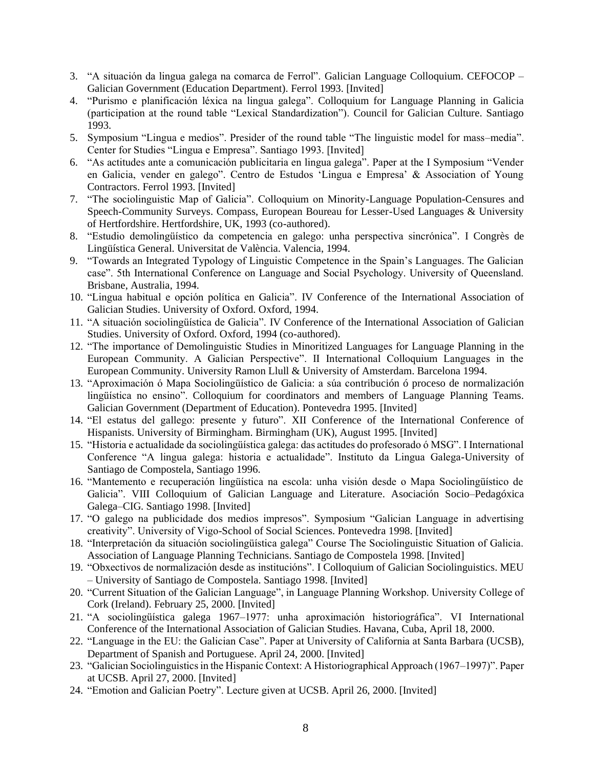- 3. "A situación da lingua galega na comarca de Ferrol". Galician Language Colloquium. CEFOCOP Galician Government (Education Department). Ferrol 1993. [Invited]
- 4. "Purismo e planificación léxica na lingua galega". Colloquium for Language Planning in Galicia (participation at the round table "Lexical Standardization"). Council for Galician Culture. Santiago 1993.
- 5. Symposium "Lingua e medios". Presider of the round table "The linguistic model for mass–media". Center for Studies "Lingua e Empresa". Santiago 1993. [Invited]
- 6. "As actitudes ante a comunicación publicitaria en lingua galega". Paper at the I Symposium "Vender en Galicia, vender en galego". Centro de Estudos 'Lingua e Empresa' & Association of Young Contractors. Ferrol 1993. [Invited]
- 7. "The sociolinguistic Map of Galicia". Colloquium on Minority-Language Population-Censures and Speech-Community Surveys. Compass, European Boureau for Lesser-Used Languages & University of Hertfordshire. Hertfordshire, UK, 1993 (co-authored).
- 8. "Estudio demolingüístico da competencia en galego: unha perspectiva sincrónica". I Congrès de Lingüística General. Universitat de València. Valencia, 1994.
- 9. "Towards an Integrated Typology of Linguistic Competence in the Spain's Languages. The Galician case". 5th International Conference on Language and Social Psychology. University of Queensland. Brisbane, Australia, 1994.
- 10. "Lingua habitual e opción política en Galicia". IV Conference of the International Association of Galician Studies. University of Oxford. Oxford, 1994.
- 11. "A situación sociolingüística de Galicia". IV Conference of the International Association of Galician Studies. University of Oxford. Oxford, 1994 (co-authored).
- 12. "The importance of Demolinguistic Studies in Minoritized Languages for Language Planning in the European Community. A Galician Perspective". II International Colloquium Languages in the European Community. University Ramon Llull & University of Amsterdam. Barcelona 1994.
- 13. "Aproximación ó Mapa Sociolingüístico de Galicia: a súa contribución ó proceso de normalización lingüística no ensino". Colloquium for coordinators and members of Language Planning Teams. Galician Government (Department of Education). Pontevedra 1995. [Invited]
- 14. "El estatus del gallego: presente y futuro". XII Conference of the International Conference of Hispanists. University of Birmingham. Birmingham (UK), August 1995. [Invited]
- 15. "Historia e actualidade da sociolingüística galega: das actitudes do profesorado ó MSG". I International Conference "A lingua galega: historia e actualidade". Instituto da Lingua Galega-University of Santiago de Compostela, Santiago 1996.
- 16. "Mantemento e recuperación lingüística na escola: unha visión desde o Mapa Sociolingüístico de Galicia". VIII Colloquium of Galician Language and Literature. Asociación Socio–Pedagóxica Galega–CIG. Santiago 1998. [Invited]
- 17. "O galego na publicidade dos medios impresos". Symposium "Galician Language in advertising creativity". University of Vigo-School of Social Sciences. Pontevedra 1998. [Invited]
- 18. "Interpretación da situación sociolingüística galega" Course The Sociolinguistic Situation of Galicia. Association of Language Planning Technicians. Santiago de Compostela 1998. [Invited]
- 19. "Obxectivos de normalización desde as institucións". I Colloquium of Galician Sociolinguistics. MEU – University of Santiago de Compostela. Santiago 1998. [Invited]
- 20. "Current Situation of the Galician Language", in Language Planning Workshop. University College of Cork (Ireland). February 25, 2000. [Invited]
- 21. "A sociolingüística galega 1967–1977: unha aproximación historiográfica". VI International Conference of the International Association of Galician Studies. Havana, Cuba, April 18, 2000.
- 22. "Language in the EU: the Galician Case". Paper at University of California at Santa Barbara (UCSB), Department of Spanish and Portuguese. April 24, 2000. [Invited]
- 23. "Galician Sociolinguistics in the Hispanic Context: A Historiographical Approach (1967–1997)". Paper at UCSB. April 27, 2000. [Invited]
- 24. "Emotion and Galician Poetry". Lecture given at UCSB. April 26, 2000. [Invited]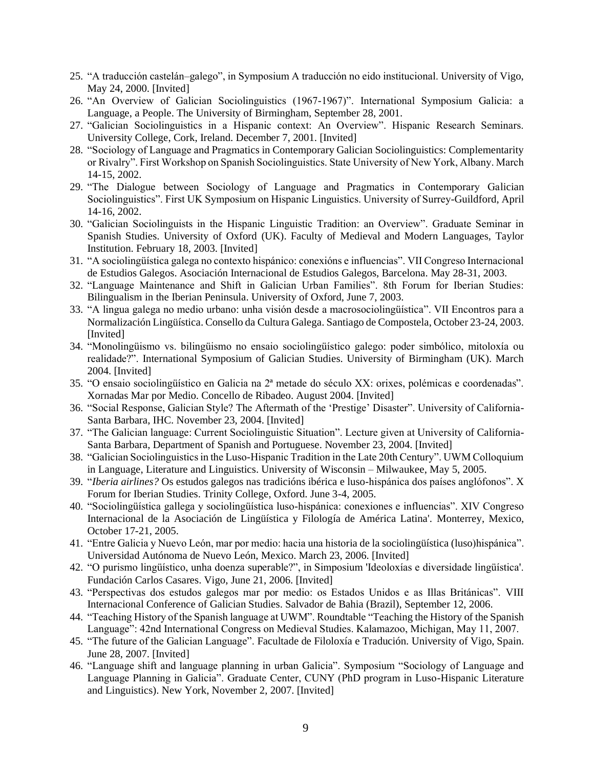- 25. "A traducción castelán–galego", in Symposium A traducción no eido institucional. University of Vigo, May 24, 2000. [Invited]
- 26. "An Overview of Galician Sociolinguistics (1967-1967)". International Symposium Galicia: a Language, a People. The University of Birmingham, September 28, 2001.
- 27. "Galician Sociolinguistics in a Hispanic context: An Overview". Hispanic Research Seminars. University College, Cork, Ireland. December 7, 2001. [Invited]
- 28. "Sociology of Language and Pragmatics in Contemporary Galician Sociolinguistics: Complementarity or Rivalry". First Workshop on Spanish Sociolinguistics. State University of New York, Albany. March 14-15, 2002.
- 29. "The Dialogue between Sociology of Language and Pragmatics in Contemporary Galician Sociolinguistics". First UK Symposium on Hispanic Linguistics. University of Surrey-Guildford, April 14-16, 2002.
- 30. "Galician Sociolinguists in the Hispanic Linguistic Tradition: an Overview". Graduate Seminar in Spanish Studies. University of Oxford (UK). Faculty of Medieval and Modern Languages, Taylor Institution. February 18, 2003. [Invited]
- 31. "A sociolingüística galega no contexto hispánico: conexións e influencias". VII Congreso Internacional de Estudios Galegos. Asociación Internacional de Estudios Galegos, Barcelona. May 28-31, 2003.
- 32. "Language Maintenance and Shift in Galician Urban Families". 8th Forum for Iberian Studies: Bilingualism in the Iberian Peninsula. University of Oxford, June 7, 2003.
- 33. "A lingua galega no medio urbano: unha visión desde a macrosociolingüística". VII Encontros para a Normalización Lingüística. Consello da Cultura Galega. Santiago de Compostela, October 23-24, 2003. [Invited]
- 34. "Monolingüismo vs. bilingüismo no ensaio sociolingüístico galego: poder simbólico, mitoloxía ou realidade?". International Symposium of Galician Studies. University of Birmingham (UK). March 2004. [Invited]
- 35. "O ensaio sociolingüístico en Galicia na 2ª metade do século XX: orixes, polémicas e coordenadas". Xornadas Mar por Medio. Concello de Ribadeo. August 2004. [Invited]
- 36. "Social Response, Galician Style? The Aftermath of the 'Prestige' Disaster". University of California-Santa Barbara, IHC. November 23, 2004. [Invited]
- 37. "The Galician language: Current Sociolinguistic Situation". Lecture given at University of California-Santa Barbara, Department of Spanish and Portuguese. November 23, 2004. [Invited]
- 38. "Galician Sociolinguistics in the Luso-Hispanic Tradition in the Late 20th Century". UWM Colloquium in Language, Literature and Linguistics. University of Wisconsin – Milwaukee, May 5, 2005.
- 39. "*Iberia airlines?* Os estudos galegos nas tradicións ibérica e luso-hispánica dos países anglófonos". X Forum for Iberian Studies. Trinity College, Oxford. June 3-4, 2005.
- 40. "Sociolingüística gallega y sociolingüística luso-hispánica: conexiones e influencias". XIV Congreso Internacional de la Asociación de Lingüística y Filología de América Latina'. Monterrey, Mexico, October 17-21, 2005.
- 41. "Entre Galicia y Nuevo León, mar por medio: hacia una historia de la sociolingüística (luso)hispánica". Universidad Autónoma de Nuevo León, Mexico. March 23, 2006. [Invited]
- 42. "O purismo lingüístico, unha doenza superable?", in Simposium 'Ideoloxías e diversidade lingüística'. Fundación Carlos Casares. Vigo, June 21, 2006. [Invited]
- 43. "Perspectivas dos estudos galegos mar por medio: os Estados Unidos e as Illas Británicas". VIII Internacional Conference of Galician Studies. Salvador de Bahia (Brazil), September 12, 2006.
- 44. "Teaching History of the Spanish language at UWM". Roundtable "Teaching the History of the Spanish Language": 42nd International Congress on Medieval Studies. Kalamazoo, Michigan, May 11, 2007.
- 45. "The future of the Galician Language". Facultade de Filoloxía e Tradución. University of Vigo, Spain. June 28, 2007. [Invited]
- 46. "Language shift and language planning in urban Galicia". Symposium "Sociology of Language and Language Planning in Galicia". Graduate Center, CUNY (PhD program in Luso-Hispanic Literature and Linguistics). New York, November 2, 2007. [Invited]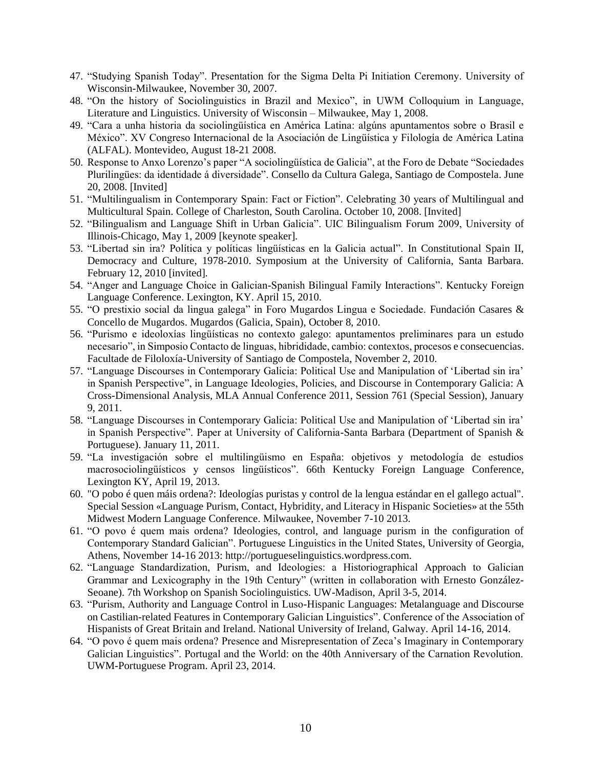- 47. "Studying Spanish Today". Presentation for the Sigma Delta Pi Initiation Ceremony. University of Wisconsin-Milwaukee, November 30, 2007.
- 48. "On the history of Sociolinguistics in Brazil and Mexico", in UWM Colloquium in Language, Literature and Linguistics. University of Wisconsin – Milwaukee, May 1, 2008.
- 49. "Cara a unha historia da sociolingüística en América Latina: algúns apuntamentos sobre o Brasil e México". XV Congreso Internacional de la Asociación de Lingüística y Filología de América Latina (ALFAL). Montevideo, August 18-21 2008.
- 50. Response to Anxo Lorenzo's paper "A sociolingüística de Galicia", at the Foro de Debate "Sociedades Plurilingües: da identidade á diversidade". Consello da Cultura Galega, Santiago de Compostela. June 20, 2008. [Invited]
- 51. "Multilingualism in Contemporary Spain: Fact or Fiction". Celebrating 30 years of Multilingual and Multicultural Spain. College of Charleston, South Carolina. October 10, 2008. [Invited]
- 52. "Bilingualism and Language Shift in Urban Galicia". UIC Bilingualism Forum 2009, University of Illinois-Chicago, May 1, 2009 [keynote speaker].
- 53. "Libertad sin ira? Política y políticas lingüísticas en la Galicia actual". In Constitutional Spain II, Democracy and Culture, 1978-2010. Symposium at the University of California, Santa Barbara. February 12, 2010 [invited].
- 54. "Anger and Language Choice in Galician-Spanish Bilingual Family Interactions". Kentucky Foreign Language Conference. Lexington, KY. April 15, 2010.
- 55. "O prestixio social da lingua galega" in Foro Mugardos Lingua e Sociedade. Fundación Casares & Concello de Mugardos. Mugardos (Galicia, Spain), October 8, 2010.
- 56. "Purismo e ideoloxías lingüísticas no contexto galego: apuntamentos preliminares para un estudo necesario", in Simposio Contacto de linguas, hibrididade, cambio: contextos, procesos e consecuencias. Facultade de Filoloxía-University of Santiago de Compostela, November 2, 2010.
- 57. "Language Discourses in Contemporary Galicia: Political Use and Manipulation of 'Libertad sin ira' in Spanish Perspective", in Language Ideologies, Policies, and Discourse in Contemporary Galicia: A Cross-Dimensional Analysis, MLA Annual Conference 2011, Session 761 (Special Session), January 9, 2011.
- 58. "Language Discourses in Contemporary Galicia: Political Use and Manipulation of 'Libertad sin ira' in Spanish Perspective". Paper at University of California-Santa Barbara (Department of Spanish & Portuguese). January 11, 2011.
- 59. "La investigación sobre el multilingüismo en España: objetivos y metodología de estudios macrosociolingüísticos y censos lingüísticos". 66th Kentucky Foreign Language Conference, Lexington KY, April 19, 2013.
- 60. "O pobo é quen máis ordena?: Ideologías puristas y control de la lengua estándar en el gallego actual". Special Session «Language Purism, Contact, Hybridity, and Literacy in Hispanic Societies» at the 55th Midwest Modern Language Conference. Milwaukee, November 7-10 2013.
- 61. "O povo é quem mais ordena? Ideologies, control, and language purism in the configuration of Contemporary Standard Galician". Portuguese Linguistics in the United States, University of Georgia, Athens, November 14-16 2013: http://portugueselinguistics.wordpress.com.
- 62. "Language Standardization, Purism, and Ideologies: a Historiographical Approach to Galician Grammar and Lexicography in the 19th Century" (written in collaboration with Ernesto González-Seoane). 7th Workshop on Spanish Sociolinguistics. UW-Madison, April 3-5, 2014.
- 63. "Purism, Authority and Language Control in Luso-Hispanic Languages: Metalanguage and Discourse on Castilian-related Features in Contemporary Galician Linguistics". Conference of the Association of Hispanists of Great Britain and Ireland. National University of Ireland, Galway. April 14-16, 2014.
- 64. "O povo é quem mais ordena? Presence and Misrepresentation of Zeca's Imaginary in Contemporary Galician Linguistics". Portugal and the World: on the 40th Anniversary of the Carnation Revolution. UWM-Portuguese Program. April 23, 2014.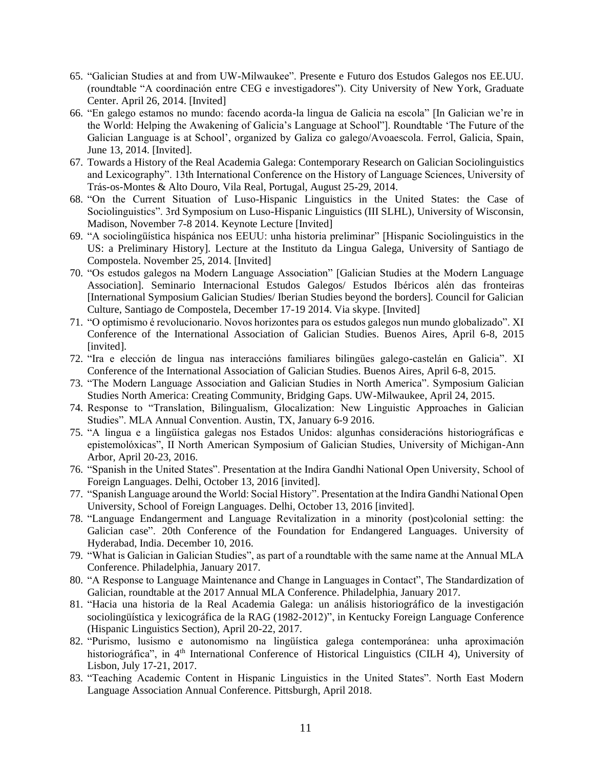- 65. "Galician Studies at and from UW-Milwaukee". Presente e Futuro dos Estudos Galegos nos EE.UU. (roundtable "A coordinación entre CEG e investigadores"). City University of New York, Graduate Center. April 26, 2014. [Invited]
- 66. "En galego estamos no mundo: facendo acorda-la lingua de Galicia na escola" [In Galician we're in the World: Helping the Awakening of Galicia's Language at School"]. Roundtable 'The Future of the Galician Language is at School', organized by Galiza co galego/Avoaescola. Ferrol, Galicia, Spain, June 13, 2014. [Invited].
- 67. Towards a History of the Real Academia Galega: Contemporary Research on Galician Sociolinguistics and Lexicography". 13th International Conference on the History of Language Sciences, University of Trás-os-Montes & Alto Douro, Vila Real, Portugal, August 25-29, 2014.
- 68. "On the Current Situation of Luso-Hispanic Linguistics in the United States: the Case of Sociolinguistics". 3rd Symposium on Luso-Hispanic Linguistics (III SLHL), University of Wisconsin, Madison, November 7-8 2014. Keynote Lecture [Invited]
- 69. "A sociolingüística hispánica nos EEUU: unha historia preliminar" [Hispanic Sociolinguistics in the US: a Preliminary History]. Lecture at the Instituto da Lingua Galega, University of Santiago de Compostela. November 25, 2014. [Invited]
- 70. "Os estudos galegos na Modern Language Association" [Galician Studies at the Modern Language Association]. Seminario Internacional Estudos Galegos/ Estudos Ibéricos alén das fronteiras [International Symposium Galician Studies/ Iberian Studies beyond the borders]. Council for Galician Culture, Santiago de Compostela, December 17-19 2014. Via skype. [Invited]
- 71. "O optimismo é revolucionario. Novos horizontes para os estudos galegos nun mundo globalizado". XI Conference of the International Association of Galician Studies. Buenos Aires, April 6-8, 2015 [invited].
- 72. "Ira e elección de lingua nas interaccións familiares bilingües galego-castelán en Galicia". XI Conference of the International Association of Galician Studies. Buenos Aires, April 6-8, 2015.
- 73. "The Modern Language Association and Galician Studies in North America". Symposium Galician Studies North America: Creating Community, Bridging Gaps. UW-Milwaukee, April 24, 2015.
- 74. Response to "Translation, Bilingualism, Glocalization: New Linguistic Approaches in Galician Studies". MLA Annual Convention. Austin, TX, January 6-9 2016.
- 75. "A lingua e a lingüística galegas nos Estados Unidos: algunhas consideracións historiográficas e epistemolóxicas", II North American Symposium of Galician Studies, University of Michigan-Ann Arbor, April 20-23, 2016.
- 76. "Spanish in the United States". Presentation at the Indira Gandhi National Open University, School of Foreign Languages. Delhi, October 13, 2016 [invited].
- 77. "Spanish Language around the World: Social History". Presentation at the Indira Gandhi National Open University, School of Foreign Languages. Delhi, October 13, 2016 [invited].
- 78. "Language Endangerment and Language Revitalization in a minority (post)colonial setting: the Galician case". 20th Conference of the Foundation for Endangered Languages. University of Hyderabad, India. December 10, 2016.
- 79. "What is Galician in Galician Studies", as part of a roundtable with the same name at the Annual MLA Conference. Philadelphia, January 2017.
- 80. "A Response to Language Maintenance and Change in Languages in Contact", The Standardization of Galician, roundtable at the 2017 Annual MLA Conference. Philadelphia, January 2017.
- 81. "Hacia una historia de la Real Academia Galega: un análisis historiográfico de la investigación sociolingüística y lexicográfica de la RAG (1982-2012)", in Kentucky Foreign Language Conference (Hispanic Linguistics Section), April 20-22, 2017.
- 82. "Purismo, lusismo e autonomismo na lingüística galega contemporánea: unha aproximación historiográfica", in 4<sup>th</sup> International Conference of Historical Linguistics (CILH 4), University of Lisbon, July 17-21, 2017.
- 83. "Teaching Academic Content in Hispanic Linguistics in the United States". North East Modern Language Association Annual Conference. Pittsburgh, April 2018.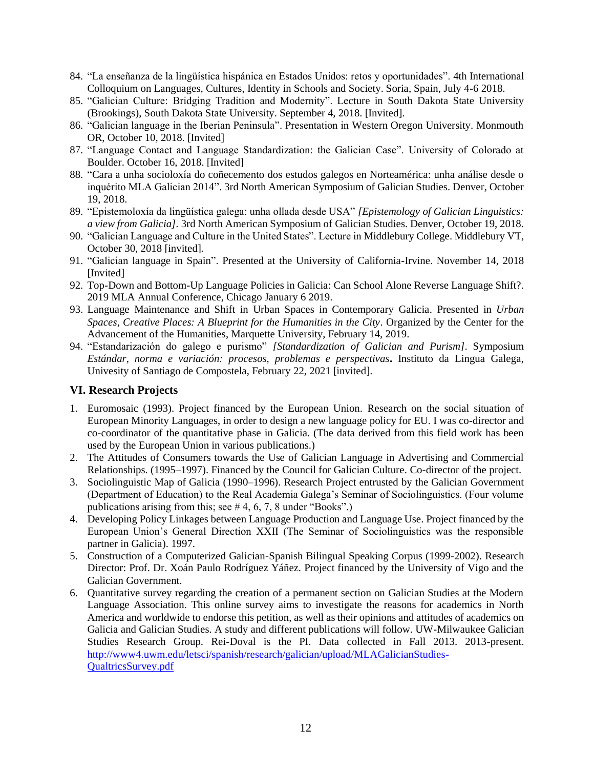- 84. "La enseñanza de la lingüística hispánica en Estados Unidos: retos y oportunidades". 4th International Colloquium on Languages, Cultures, Identity in Schools and Society. Soria, Spain, July 4-6 2018.
- 85. "Galician Culture: Bridging Tradition and Modernity". Lecture in South Dakota State University (Brookings), South Dakota State University. September 4, 2018. [Invited].
- 86. "Galician language in the Iberian Peninsula". Presentation in Western Oregon University. Monmouth OR, October 10, 2018. [Invited]
- 87. "Language Contact and Language Standardization: the Galician Case". University of Colorado at Boulder. October 16, 2018. [Invited]
- 88. "Cara a unha socioloxía do coñecemento dos estudos galegos en Norteamérica: unha análise desde o inquérito MLA Galician 2014". 3rd North American Symposium of Galician Studies. Denver, October 19, 2018.
- 89. "Epistemoloxía da lingüística galega: unha ollada desde USA" *[Epistemology of Galician Linguistics: a view from Galicia]*. 3rd North American Symposium of Galician Studies. Denver, October 19, 2018.
- 90. "Galician Language and Culture in the United States". Lecture in Middlebury College. Middlebury VT, October 30, 2018 [invited].
- 91. "Galician language in Spain". Presented at the University of California-Irvine. November 14, 2018 [Invited]
- 92. Top-Down and Bottom-Up Language Policies in Galicia: Can School Alone Reverse Language Shift?. 2019 MLA Annual Conference, Chicago January 6 2019.
- 93. Language Maintenance and Shift in Urban Spaces in Contemporary Galicia. Presented in *Urban Spaces, Creative Places: A Blueprint for the Humanities in the City*. Organized by the Center for the Advancement of the Humanities, Marquette University, February 14, 2019.
- 94. "Estandarización do galego e purismo" *[Standardization of Galician and Purism]*. Symposium *Estándar, norma e variación: procesos, problemas e perspectivas***.** Instituto da Lingua Galega, Univesity of Santiago de Compostela, February 22, 2021 [invited].

## **VI. Research Projects**

- 1. Euromosaic (1993). Project financed by the European Union. Research on the social situation of European Minority Languages, in order to design a new language policy for EU. I was co-director and co-coordinator of the quantitative phase in Galicia. (The data derived from this field work has been used by the European Union in various publications.)
- 2. The Attitudes of Consumers towards the Use of Galician Language in Advertising and Commercial Relationships. (1995–1997). Financed by the Council for Galician Culture. Co-director of the project.
- 3. Sociolinguistic Map of Galicia (1990–1996). Research Project entrusted by the Galician Government (Department of Education) to the Real Academia Galega's Seminar of Sociolinguistics. (Four volume publications arising from this; see # 4, 6, 7, 8 under "Books".)
- 4. Developing Policy Linkages between Language Production and Language Use. Project financed by the European Union's General Direction XXII (The Seminar of Sociolinguistics was the responsible partner in Galicia). 1997.
- 5. Construction of a Computerized Galician-Spanish Bilingual Speaking Corpus (1999-2002). Research Director: Prof. Dr. Xoán Paulo Rodríguez Yáñez. Project financed by the University of Vigo and the Galician Government.
- 6. Quantitative survey regarding the creation of a permanent section on Galician Studies at the Modern Language Association. This online survey aims to investigate the reasons for academics in North America and worldwide to endorse this petition, as well as their opinions and attitudes of academics on Galicia and Galician Studies. A study and different publications will follow. UW-Milwaukee Galician Studies Research Group. Rei-Doval is the PI. Data collected in Fall 2013. 2013-present. [http://www4.uwm.edu/letsci/spanish/research/galician/upload/MLAGalicianStudies-](http://www4.uwm.edu/letsci/spanish/research/galician/upload/MLAGalicianStudies-QualtricsSurvey.pdf)[QualtricsSurvey.pdf](http://www4.uwm.edu/letsci/spanish/research/galician/upload/MLAGalicianStudies-QualtricsSurvey.pdf)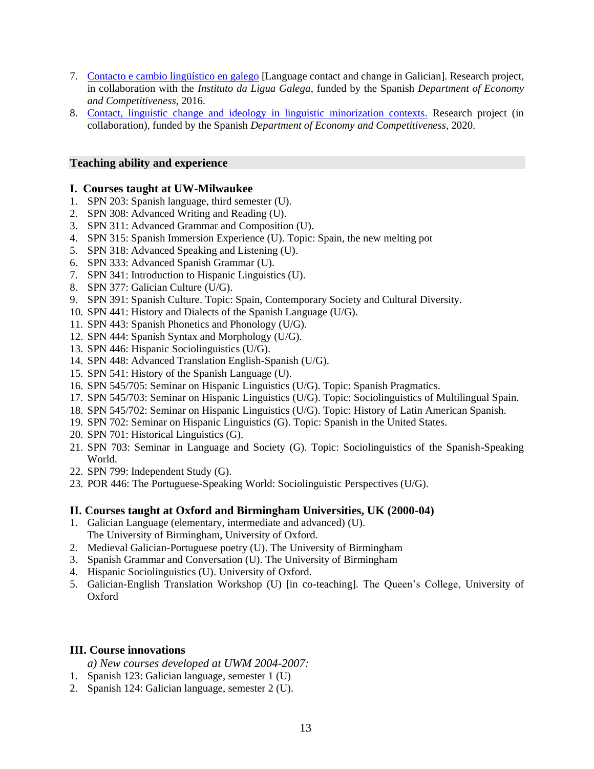- 7. [Contacto e cambio lingüístico en galego](https://www.researchgate.net/project/Contacto-e-cambio-lingueistico-en-galego) [Language contact and change in Galician]. Research project, in collaboration with the *Instituto da Ligua Galega*, funded by the Spanish *Department of Economy and Competitiveness*, 2016.
- 8. [Contact, linguistic change and ideology in linguistic minorization contexts.](https://www.researchgate.net/project/Contact-linguistic-change-and-ideology-in-linguistic-minorization-contexts) Research project (in collaboration), funded by the Spanish *Department of Economy and Competitiveness*, 2020.

#### **Teaching ability and experience**

#### **I. Courses taught at UW-Milwaukee**

- 1. SPN 203: Spanish language, third semester (U).
- 2. SPN 308: Advanced Writing and Reading (U).
- 3. SPN 311: Advanced Grammar and Composition (U).
- 4. SPN 315: Spanish Immersion Experience (U). Topic: Spain, the new melting pot
- 5. SPN 318: Advanced Speaking and Listening (U).
- 6. SPN 333: Advanced Spanish Grammar (U).
- 7. SPN 341: Introduction to Hispanic Linguistics (U).
- 8. SPN 377: Galician Culture (U/G).
- 9. SPN 391: Spanish Culture. Topic: Spain, Contemporary Society and Cultural Diversity.
- 10. SPN 441: History and Dialects of the Spanish Language (U/G).
- 11. SPN 443: Spanish Phonetics and Phonology (U/G).
- 12. SPN 444: Spanish Syntax and Morphology (U/G).
- 13. SPN 446: Hispanic Sociolinguistics (U/G).
- 14. SPN 448: Advanced Translation English-Spanish (U/G).
- 15. SPN 541: History of the Spanish Language (U).
- 16. SPN 545/705: Seminar on Hispanic Linguistics (U/G). Topic: Spanish Pragmatics.
- 17. SPN 545/703: Seminar on Hispanic Linguistics (U/G). Topic: Sociolinguistics of Multilingual Spain.
- 18. SPN 545/702: Seminar on Hispanic Linguistics (U/G). Topic: History of Latin American Spanish.
- 19. SPN 702: Seminar on Hispanic Linguistics (G). Topic: Spanish in the United States.
- 20. SPN 701: Historical Linguistics (G).
- 21. SPN 703: Seminar in Language and Society (G). Topic: Sociolinguistics of the Spanish-Speaking World.
- 22. SPN 799: Independent Study (G).
- 23. POR 446: The Portuguese-Speaking World: Sociolinguistic Perspectives (U/G).

## **II. Courses taught at Oxford and Birmingham Universities, UK (2000-04)**

- 1. Galician Language (elementary, intermediate and advanced) (U). The University of Birmingham, University of Oxford.
- 2. Medieval Galician-Portuguese poetry (U). The University of Birmingham
- 3. Spanish Grammar and Conversation (U). The University of Birmingham
- 4. Hispanic Sociolinguistics (U). University of Oxford.
- 5. Galician-English Translation Workshop (U) [in co-teaching]. The Queen's College, University of Oxford

## **III. Course innovations**

*a) New courses developed at UWM 2004-2007:*

- 1. Spanish 123: Galician language, semester 1 (U)
- 2. Spanish 124: Galician language, semester 2 (U).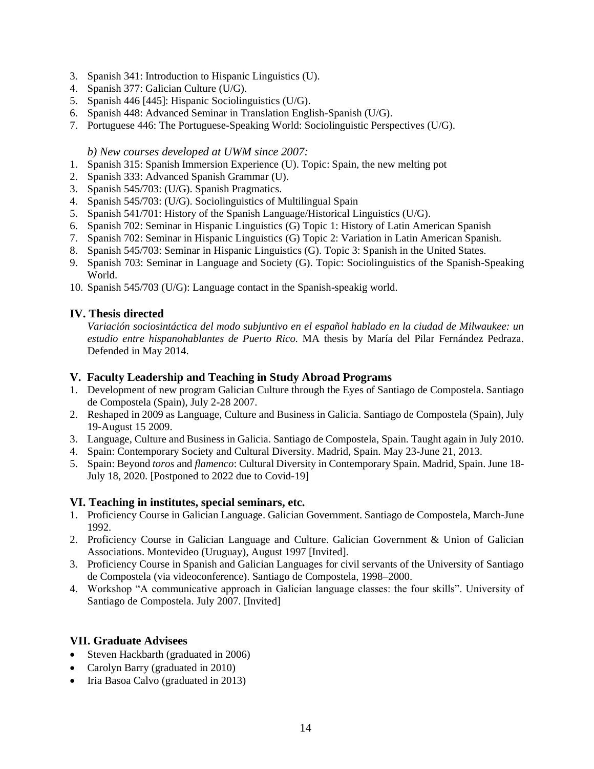- 3. Spanish 341: Introduction to Hispanic Linguistics (U).
- 4. Spanish 377: Galician Culture (U/G).
- 5. Spanish 446 [445]: Hispanic Sociolinguistics (U/G).
- 6. Spanish 448: Advanced Seminar in Translation English-Spanish (U/G).
- 7. Portuguese 446: The Portuguese-Speaking World: Sociolinguistic Perspectives (U/G).

#### *b) New courses developed at UWM since 2007:*

- 1. Spanish 315: Spanish Immersion Experience (U). Topic: Spain, the new melting pot
- 2. Spanish 333: Advanced Spanish Grammar (U).
- 3. Spanish 545/703: (U/G). Spanish Pragmatics.
- 4. Spanish 545/703: (U/G). Sociolinguistics of Multilingual Spain
- 5. Spanish 541/701: History of the Spanish Language/Historical Linguistics (U/G).
- 6. Spanish 702: Seminar in Hispanic Linguistics (G) Topic 1: History of Latin American Spanish
- 7. Spanish 702: Seminar in Hispanic Linguistics (G) Topic 2: Variation in Latin American Spanish.
- 8. Spanish 545/703: Seminar in Hispanic Linguistics (G). Topic 3: Spanish in the United States.
- 9. Spanish 703: Seminar in Language and Society (G). Topic: Sociolinguistics of the Spanish-Speaking World.
- 10. Spanish 545/703 (U/G): Language contact in the Spanish-speakig world.

## **IV. Thesis directed**

*Variación sociosintáctica del modo subjuntivo en el español hablado en la ciudad de Milwaukee: un estudio entre hispanohablantes de Puerto Rico.* MA thesis by María del Pilar Fernández Pedraza. Defended in May 2014.

## **V. Faculty Leadership and Teaching in Study Abroad Programs**

- 1. Development of new program Galician Culture through the Eyes of Santiago de Compostela. Santiago de Compostela (Spain), July 2-28 2007.
- 2. Reshaped in 2009 as Language, Culture and Business in Galicia. Santiago de Compostela (Spain), July 19-August 15 2009.
- 3. Language, Culture and Business in Galicia. Santiago de Compostela, Spain. Taught again in July 2010.
- 4. Spain: Contemporary Society and Cultural Diversity. Madrid, Spain. May 23-June 21, 2013.
- 5. Spain: Beyond *toros* and *flamenco*: Cultural Diversity in Contemporary Spain. Madrid, Spain. June 18- July 18, 2020. [Postponed to 2022 due to Covid-19]

## **VI. Teaching in institutes, special seminars, etc.**

- 1. Proficiency Course in Galician Language. Galician Government. Santiago de Compostela, March-June 1992.
- 2. Proficiency Course in Galician Language and Culture. Galician Government & Union of Galician Associations. Montevideo (Uruguay), August 1997 [Invited].
- 3. Proficiency Course in Spanish and Galician Languages for civil servants of the University of Santiago de Compostela (via videoconference). Santiago de Compostela, 1998–2000.
- 4. Workshop "A communicative approach in Galician language classes: the four skills". University of Santiago de Compostela. July 2007. [Invited]

## **VII. Graduate Advisees**

- Steven Hackbarth (graduated in 2006)
- Carolyn Barry (graduated in 2010)
- Iria Basoa Calvo (graduated in 2013)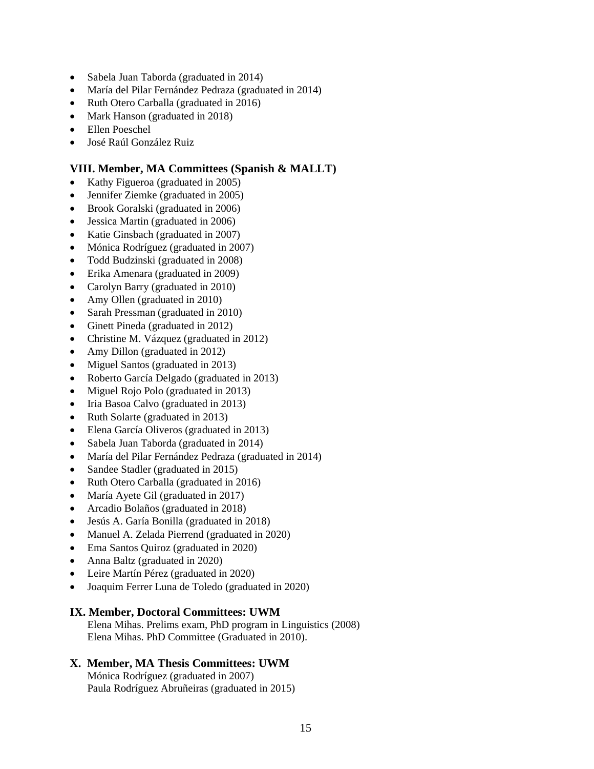- Sabela Juan Taborda (graduated in 2014)
- María del Pilar Fernández Pedraza (graduated in 2014)
- Ruth Otero Carballa (graduated in 2016)
- Mark Hanson (graduated in 2018)
- Ellen Poeschel
- José Raúl González Ruiz

## **VIII. Member, MA Committees (Spanish & MALLT)**

- Kathy Figueroa (graduated in 2005)
- Jennifer Ziemke (graduated in 2005)
- Brook Goralski (graduated in 2006)
- Jessica Martin (graduated in 2006)
- Katie Ginsbach (graduated in 2007)
- Mónica Rodríguez (graduated in 2007)
- Todd Budzinski (graduated in 2008)
- Erika Amenara (graduated in 2009)
- Carolyn Barry (graduated in 2010)
- Amy Ollen (graduated in 2010)
- Sarah Pressman (graduated in 2010)
- Ginett Pineda (graduated in 2012)
- Christine M. Vázquez (graduated in 2012)
- Amy Dillon (graduated in 2012)
- Miguel Santos (graduated in 2013)
- Roberto García Delgado (graduated in 2013)
- Miguel Rojo Polo (graduated in 2013)
- Iria Basoa Calvo (graduated in 2013)
- Ruth Solarte (graduated in 2013)
- Elena García Oliveros (graduated in 2013)
- Sabela Juan Taborda (graduated in 2014)
- María del Pilar Fernández Pedraza (graduated in 2014)
- Sandee Stadler (graduated in 2015)
- Ruth Otero Carballa (graduated in 2016)
- María Ayete Gil (graduated in 2017)
- Arcadio Bolaños (graduated in 2018)
- Jesús A. Garía Bonilla (graduated in 2018)
- Manuel A. Zelada Pierrend (graduated in 2020)
- Ema Santos Quiroz (graduated in 2020)
- Anna Baltz (graduated in 2020)
- Leire Martín Pérez (graduated in 2020)
- Joaquim Ferrer Luna de Toledo (graduated in 2020)

#### **IX. Member, Doctoral Committees: UWM**

Elena Mihas. Prelims exam, PhD program in Linguistics (2008) Elena Mihas. PhD Committee (Graduated in 2010).

# **X. Member, MA Thesis Committees: UWM**

Mónica Rodríguez (graduated in 2007) Paula Rodríguez Abruñeiras (graduated in 2015)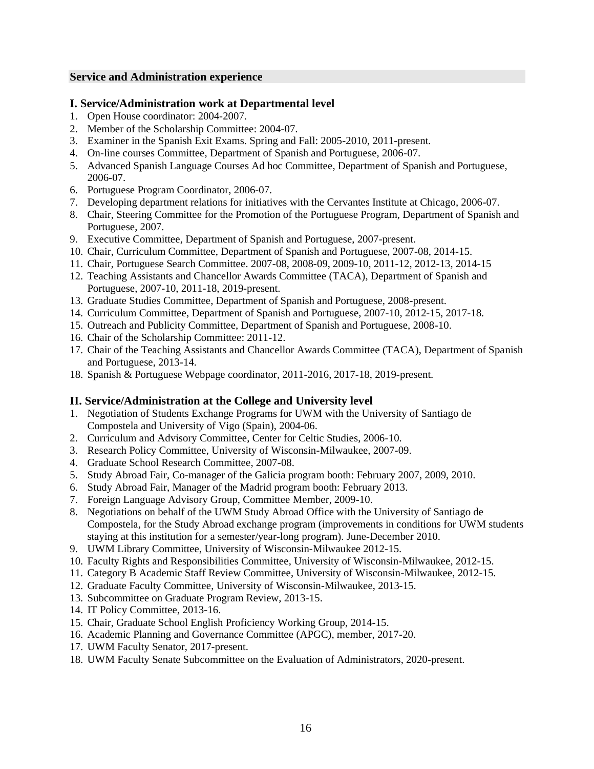#### **Service and Administration experience**

## **I. Service/Administration work at Departmental level**

- 1. Open House coordinator: 2004-2007.
- 2. Member of the Scholarship Committee: 2004-07.
- 3. Examiner in the Spanish Exit Exams. Spring and Fall: 2005-2010, 2011-present.
- 4. On-line courses Committee, Department of Spanish and Portuguese, 2006-07.
- 5. Advanced Spanish Language Courses Ad hoc Committee, Department of Spanish and Portuguese, 2006-07.
- 6. Portuguese Program Coordinator, 2006-07.
- 7. Developing department relations for initiatives with the Cervantes Institute at Chicago, 2006-07.
- 8. Chair, Steering Committee for the Promotion of the Portuguese Program, Department of Spanish and Portuguese, 2007.
- 9. Executive Committee, Department of Spanish and Portuguese, 2007-present.
- 10. Chair, Curriculum Committee, Department of Spanish and Portuguese, 2007-08, 2014-15.
- 11. Chair, Portuguese Search Committee. 2007-08, 2008-09, 2009-10, 2011-12, 2012-13, 2014-15
- 12. Teaching Assistants and Chancellor Awards Committee (TACA), Department of Spanish and Portuguese, 2007-10, 2011-18, 2019-present.
- 13. Graduate Studies Committee, Department of Spanish and Portuguese, 2008-present.
- 14. Curriculum Committee, Department of Spanish and Portuguese, 2007-10, 2012-15, 2017-18.
- 15. Outreach and Publicity Committee, Department of Spanish and Portuguese, 2008-10.
- 16. Chair of the Scholarship Committee: 2011-12.
- 17. Chair of the Teaching Assistants and Chancellor Awards Committee (TACA), Department of Spanish and Portuguese, 2013-14.
- 18. Spanish & Portuguese Webpage coordinator, 2011-2016, 2017-18, 2019-present.

## **II. Service/Administration at the College and University level**

- 1. Negotiation of Students Exchange Programs for UWM with the University of Santiago de Compostela and University of Vigo (Spain), 2004-06.
- 2. Curriculum and Advisory Committee, Center for Celtic Studies, 2006-10.
- 3. Research Policy Committee, University of Wisconsin-Milwaukee, 2007-09.
- 4. Graduate School Research Committee, 2007-08.
- 5. Study Abroad Fair, Co-manager of the Galicia program booth: February 2007, 2009, 2010.
- 6. Study Abroad Fair, Manager of the Madrid program booth: February 2013.
- 7. Foreign Language Advisory Group, Committee Member, 2009-10.
- 8. Negotiations on behalf of the UWM Study Abroad Office with the University of Santiago de Compostela, for the Study Abroad exchange program (improvements in conditions for UWM students staying at this institution for a semester/year-long program). June-December 2010.
- 9. UWM Library Committee, University of Wisconsin-Milwaukee 2012-15.
- 10. Faculty Rights and Responsibilities Committee, University of Wisconsin-Milwaukee, 2012-15.
- 11. Category B Academic Staff Review Committee, University of Wisconsin-Milwaukee, 2012-15.
- 12. Graduate Faculty Committee, University of Wisconsin-Milwaukee, 2013-15.
- 13. Subcommittee on Graduate Program Review, 2013-15.
- 14. IT Policy Committee, 2013-16.
- 15. Chair, Graduate School English Proficiency Working Group, 2014-15.
- 16. Academic Planning and Governance Committee (APGC), member, 2017-20.
- 17. UWM Faculty Senator, 2017-present.
- 18. UWM Faculty Senate Subcommittee on the Evaluation of Administrators, 2020-present.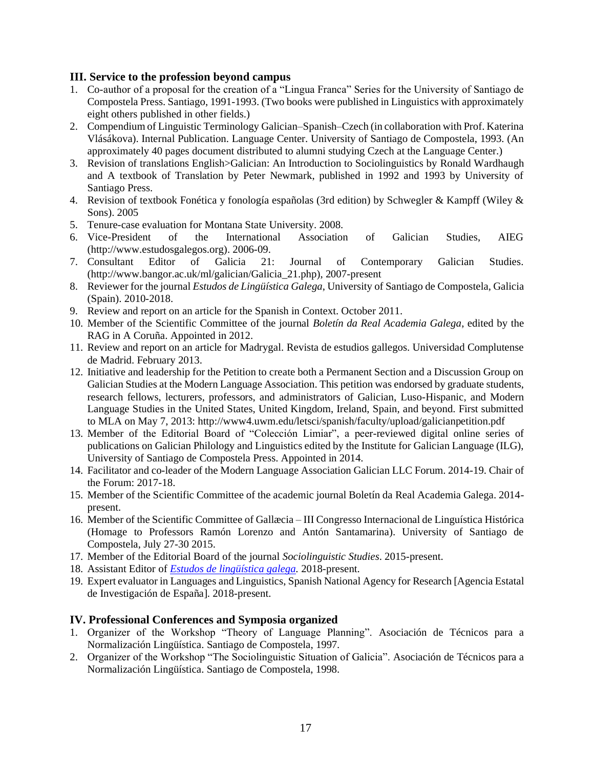## **III. Service to the profession beyond campus**

- 1. Co-author of a proposal for the creation of a "Lingua Franca" Series for the University of Santiago de Compostela Press. Santiago, 1991-1993. (Two books were published in Linguistics with approximately eight others published in other fields.)
- 2. Compendium of Linguistic Terminology Galician–Spanish–Czech (in collaboration with Prof. Katerina Vlásákova). Internal Publication. Language Center. University of Santiago de Compostela, 1993. (An approximately 40 pages document distributed to alumni studying Czech at the Language Center.)
- 3. Revision of translations English>Galician: An Introduction to Sociolinguistics by Ronald Wardhaugh and A textbook of Translation by Peter Newmark, published in 1992 and 1993 by University of Santiago Press.
- 4. Revision of textbook Fonética y fonología españolas (3rd edition) by Schwegler & Kampff (Wiley & Sons). 2005
- 5. Tenure-case evaluation for Montana State University. 2008.
- 6. Vice-President of the International Association of Galician Studies, AIEG (http://www.estudosgalegos.org). 2006-09.
- 7. Consultant Editor of Galicia 21: Journal of Contemporary Galician Studies. (http://www.bangor.ac.uk/ml/galician/Galicia\_21.php), 2007-present
- 8. Reviewer for the journal *Estudos de Lingüística Galega*, University of Santiago de Compostela, Galicia (Spain). 2010-2018.
- 9. Review and report on an article for the Spanish in Context. October 2011.
- 10. Member of the Scientific Committee of the journal *Boletín da Real Academia Galega*, edited by the RAG in A Coruña. Appointed in 2012.
- 11. Review and report on an article for Madrygal. Revista de estudios gallegos. Universidad Complutense de Madrid. February 2013.
- 12. Initiative and leadership for the Petition to create both a Permanent Section and a Discussion Group on Galician Studies at the Modern Language Association. This petition was endorsed by graduate students, research fellows, lecturers, professors, and administrators of Galician, Luso-Hispanic, and Modern Language Studies in the United States, United Kingdom, Ireland, Spain, and beyond. First submitted to MLA on May 7, 2013: http://www4.uwm.edu/letsci/spanish/faculty/upload/galicianpetition.pdf
- 13. Member of the Editorial Board of "Colección Limiar", a peer-reviewed digital online series of publications on Galician Philology and Linguistics edited by the Institute for Galician Language (ILG), University of Santiago de Compostela Press. Appointed in 2014.
- 14. Facilitator and co-leader of the Modern Language Association Galician LLC Forum. 2014-19. Chair of the Forum: 2017-18.
- 15. Member of the Scientific Committee of the academic journal Boletín da Real Academia Galega. 2014 present.
- 16. Member of the Scientific Committee of Gallæcia III Congresso Internacional de Linguística Histórica (Homage to Professors Ramón Lorenzo and Antón Santamarina). University of Santiago de Compostela, July 27-30 2015.
- 17. Member of the Editorial Board of the journal *Sociolinguistic Studies*. 2015-present.
- 18. Assistant Editor of *[Estudos de lingüística galega.](http://www.usc.es/revistas/index.php/elg/about/editorialTeam)* 2018-present.
- 19. Expert evaluator in Languages and Linguistics, Spanish National Agency for Research [Agencia Estatal de Investigación de España]. 2018-present.

## **IV. Professional Conferences and Symposia organized**

- 1. Organizer of the Workshop "Theory of Language Planning". Asociación de Técnicos para a Normalización Lingüística. Santiago de Compostela, 1997.
- 2. Organizer of the Workshop "The Sociolinguistic Situation of Galicia". Asociación de Técnicos para a Normalización Lingüística. Santiago de Compostela, 1998.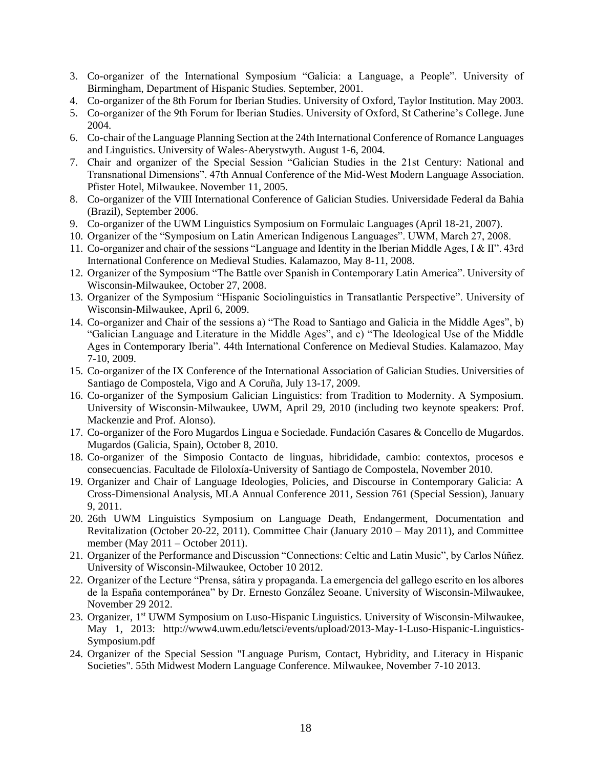- 3. Co-organizer of the International Symposium "Galicia: a Language, a People". University of Birmingham, Department of Hispanic Studies. September, 2001.
- 4. Co-organizer of the 8th Forum for Iberian Studies. University of Oxford, Taylor Institution. May 2003.
- 5. Co-organizer of the 9th Forum for Iberian Studies. University of Oxford, St Catherine's College. June 2004.
- 6. Co-chair of the Language Planning Section at the 24th International Conference of Romance Languages and Linguistics. University of Wales-Aberystwyth. August 1-6, 2004.
- 7. Chair and organizer of the Special Session "Galician Studies in the 21st Century: National and Transnational Dimensions". 47th Annual Conference of the Mid-West Modern Language Association. Pfister Hotel, Milwaukee. November 11, 2005.
- 8. Co-organizer of the VIII International Conference of Galician Studies. Universidade Federal da Bahia (Brazil), September 2006.
- 9. Co-organizer of the UWM Linguistics Symposium on Formulaic Languages (April 18-21, 2007).
- 10. Organizer of the "Symposium on Latin American Indigenous Languages". UWM, March 27, 2008.
- 11. Co-organizer and chair of the sessions "Language and Identity in the Iberian Middle Ages, I & II". 43rd International Conference on Medieval Studies. Kalamazoo, May 8-11, 2008.
- 12. Organizer of the Symposium "The Battle over Spanish in Contemporary Latin America". University of Wisconsin-Milwaukee, October 27, 2008.
- 13. Organizer of the Symposium "Hispanic Sociolinguistics in Transatlantic Perspective". University of Wisconsin-Milwaukee, April 6, 2009.
- 14. Co-organizer and Chair of the sessions a) "The Road to Santiago and Galicia in the Middle Ages", b) "Galician Language and Literature in the Middle Ages", and c) "The Ideological Use of the Middle Ages in Contemporary Iberia". 44th International Conference on Medieval Studies. Kalamazoo, May 7-10, 2009.
- 15. Co-organizer of the IX Conference of the International Association of Galician Studies. Universities of Santiago de Compostela, Vigo and A Coruña, July 13-17, 2009.
- 16. Co-organizer of the Symposium Galician Linguistics: from Tradition to Modernity. A Symposium. University of Wisconsin-Milwaukee, UWM, April 29, 2010 (including two keynote speakers: Prof. Mackenzie and Prof. Alonso).
- 17. Co-organizer of the Foro Mugardos Lingua e Sociedade. Fundación Casares & Concello de Mugardos. Mugardos (Galicia, Spain), October 8, 2010.
- 18. Co-organizer of the Simposio Contacto de linguas, hibrididade, cambio: contextos, procesos e consecuencias. Facultade de Filoloxía-University of Santiago de Compostela, November 2010.
- 19. Organizer and Chair of Language Ideologies, Policies, and Discourse in Contemporary Galicia: A Cross-Dimensional Analysis, MLA Annual Conference 2011, Session 761 (Special Session), January 9, 2011.
- 20. 26th UWM Linguistics Symposium on Language Death, Endangerment, Documentation and Revitalization (October 20-22, 2011). Committee Chair (January 2010 – May 2011), and Committee member (May 2011 – October 2011).
- 21. Organizer of the Performance and Discussion "Connections: Celtic and Latin Music", by Carlos Núñez. University of Wisconsin-Milwaukee, October 10 2012.
- 22. Organizer of the Lecture "Prensa, sátira y propaganda. La emergencia del gallego escrito en los albores de la España contemporánea" by Dr. Ernesto González Seoane. University of Wisconsin-Milwaukee, November 29 2012.
- 23. Organizer, 1<sup>st</sup> UWM Symposium on Luso-Hispanic Linguistics. University of Wisconsin-Milwaukee, May 1, 2013: http://www4.uwm.edu/letsci/events/upload/2013-May-1-Luso-Hispanic-Linguistics-Symposium.pdf
- 24. Organizer of the Special Session "Language Purism, Contact, Hybridity, and Literacy in Hispanic Societies". 55th Midwest Modern Language Conference. Milwaukee, November 7-10 2013.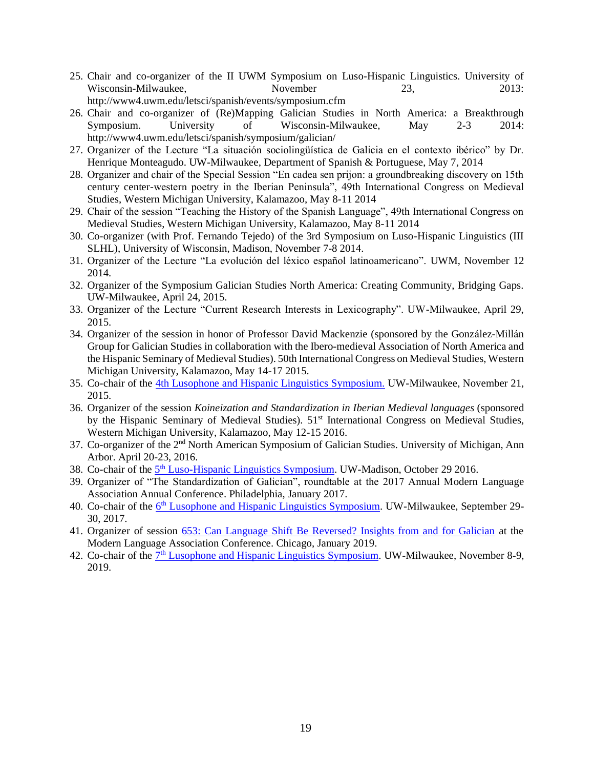- 25. Chair and co-organizer of the II UWM Symposium on Luso-Hispanic Linguistics. University of Wisconsin-Milwaukee, November 23, 2013: http://www4.uwm.edu/letsci/spanish/events/symposium.cfm
- 26. Chair and co-organizer of (Re)Mapping Galician Studies in North America: a Breakthrough Symposium. University of Wisconsin-Milwaukee, May 2-3 2014: http://www4.uwm.edu/letsci/spanish/symposium/galician/
- 27. Organizer of the Lecture "La situación sociolingüística de Galicia en el contexto ibérico" by Dr. Henrique Monteagudo. UW-Milwaukee, Department of Spanish & Portuguese, May 7, 2014
- 28. Organizer and chair of the Special Session "En cadea sen prijon: a groundbreaking discovery on 15th century center-western poetry in the Iberian Peninsula", 49th International Congress on Medieval Studies, Western Michigan University, Kalamazoo, May 8-11 2014
- 29. Chair of the session "Teaching the History of the Spanish Language", 49th International Congress on Medieval Studies, Western Michigan University, Kalamazoo, May 8-11 2014
- 30. Co-organizer (with Prof. Fernando Tejedo) of the 3rd Symposium on Luso-Hispanic Linguistics (III SLHL), University of Wisconsin, Madison, November 7-8 2014.
- 31. Organizer of the Lecture "La evolución del léxico español latinoamericano". UWM, November 12 2014.
- 32. Organizer of the Symposium Galician Studies North America: Creating Community, Bridging Gaps. UW-Milwaukee, April 24, 2015.
- 33. Organizer of the Lecture "Current Research Interests in Lexicography". UW-Milwaukee, April 29, 2015.
- 34. Organizer of the session in honor of Professor David Mackenzie (sponsored by the González-Millán Group for Galician Studies in collaboration with the Ibero-medieval Association of North America and the Hispanic Seminary of Medieval Studies). 50th International Congress on Medieval Studies, Western Michigan University, Kalamazoo, May 14-17 2015.
- 35. Co-chair of the [4th Lusophone and Hispanic Linguistics Symposium.](http://uwm.edu/spanish-portuguese/4th-lusophone-and-hispanic-linguistics-symposium/) UW-Milwaukee, November 21, 2015.
- 36. Organizer of the session *Koineization and Standardization in Iberian Medieval languages* (sponsored by the Hispanic Seminary of Medieval Studies). 51<sup>st</sup> International Congress on Medieval Studies, Western Michigan University, Kalamazoo, May 12-15 2016.
- 37. Co-organizer of the 2<sup>nd</sup> North American Symposium of Galician Studies. University of Michigan, Ann Arbor. April 20-23, 2016.
- 38. Co-chair of the 5<sup>th</sup> [Luso-Hispanic Linguistics Symposium.](https://sites.google.com/a/wisc.edu/5th-luso-hispanic-linguistics-symposium/) UW-Madison, October 29 2016.
- 39. Organizer of "The Standardization of Galician", roundtable at the 2017 Annual Modern Language Association Annual Conference. Philadelphia, January 2017.
- 40. Co-chair of the 6<sup>th</sup> [Lusophone and Hispanic Linguistics Symposium.](http://uwm.edu/spanish-portuguese/6th-lusophone-and-hispanic-linguistics-symposium/) UW-Milwaukee, September 29-30, 2017.
- 41. Organizer of session [653: Can Language Shift Be Reversed? Insights from and for Galician](https://mla19.org/event/member/522781) at the Modern Language Association Conference. Chicago, January 2019.
- 42. Co-chair of the  $7<sup>th</sup>$  [Lusophone and Hispanic Linguistics Symposium.](https://uwm.edu/spanish-portuguese/7th-lusophone-and-hispanic-linguistics-symposium/) UW-Milwaukee, November 8-9, 2019.